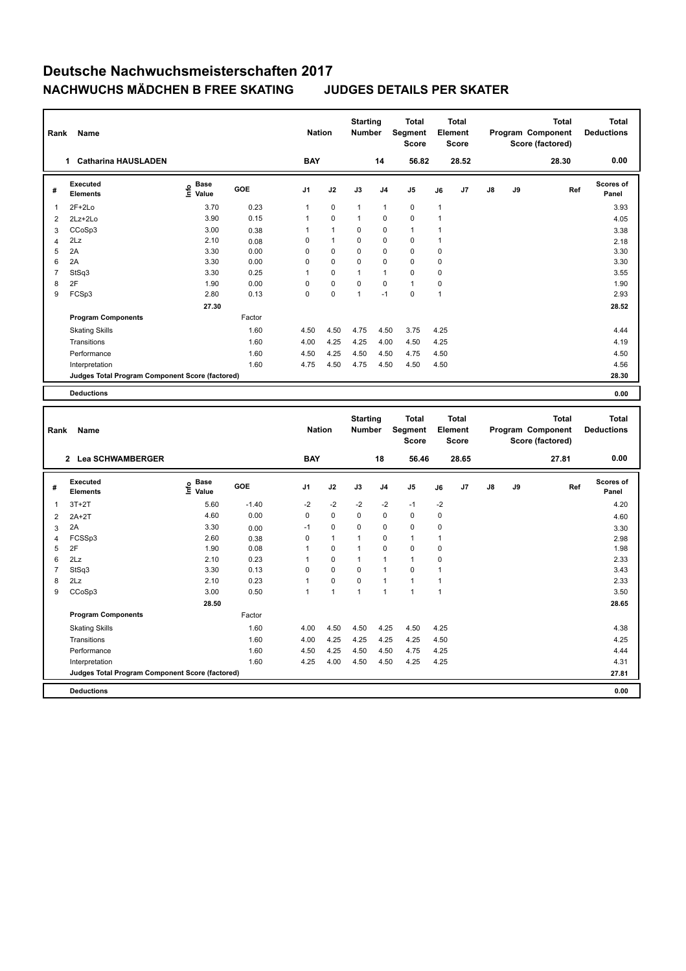| Rank                    | Name                                            |                              |              | <b>Nation</b>     |                            | <b>Starting</b><br>Number    |                             | <b>Total</b><br>Segment<br><b>Score</b> |                              | <b>Total</b><br>Element<br><b>Score</b> |    |    | <b>Total</b><br>Program Component<br>Score (factored) | <b>Total</b><br><b>Deductions</b> |
|-------------------------|-------------------------------------------------|------------------------------|--------------|-------------------|----------------------------|------------------------------|-----------------------------|-----------------------------------------|------------------------------|-----------------------------------------|----|----|-------------------------------------------------------|-----------------------------------|
|                         | 1 Catharina HAUSLADEN                           |                              |              | <b>BAY</b>        |                            |                              | 14                          | 56.82                                   |                              | 28.52                                   |    |    | 28.30                                                 | 0.00                              |
| #                       | Executed<br><b>Elements</b>                     | <b>Base</b><br>lnfo<br>Value | GOE          | J1                | J2                         | J3                           | J4                          | J5                                      | J6                           | J7                                      | J8 | J9 | Ref                                                   | Scores of<br>Panel                |
| 1                       | $2F+2Lo$                                        | 3.70                         | 0.23         | 1                 | $\mathbf 0$                | 1                            | 1                           | $\pmb{0}$                               | $\mathbf{1}$                 |                                         |    |    |                                                       | 3.93                              |
| $\overline{\mathbf{c}}$ | $2Lz + 2Lo$                                     | 3.90                         | 0.15         | $\mathbf{1}$      | 0                          | $\mathbf{1}$                 | 0                           | $\mathbf 0$                             | $\mathbf{1}$                 |                                         |    |    |                                                       | 4.05                              |
| 3                       | CCoSp3                                          | 3.00                         | 0.38         | $\mathbf{1}$      | $\mathbf{1}$               | $\mathbf 0$                  | $\mathbf 0$                 | $\mathbf{1}$                            | $\mathbf{1}$                 |                                         |    |    |                                                       | 3.38                              |
| $\overline{4}$          | 2Lz                                             | 2.10                         | 0.08         | 0                 | $\mathbf{1}$               | $\mathbf 0$                  | $\mathbf 0$                 | $\mathbf 0$                             | $\mathbf{1}$                 |                                         |    |    |                                                       | 2.18                              |
| 5                       | 2A                                              | 3.30                         | 0.00         | 0                 | 0                          | 0                            | 0                           | $\pmb{0}$                               | $\mathbf 0$                  |                                         |    |    |                                                       | 3.30                              |
| 6                       | 2A                                              | 3.30                         | 0.00         | 0                 | $\Omega$                   | $\Omega$                     | $\Omega$                    | $\mathbf 0$                             | $\mathbf 0$                  |                                         |    |    |                                                       | 3.30                              |
| $\overline{7}$          | StSq3                                           | 3.30                         | 0.25         | $\mathbf{1}$      | 0                          | $\mathbf{1}$                 | $\mathbf{1}$                | $\mathbf 0$                             | $\mathbf 0$                  |                                         |    |    |                                                       | 3.55                              |
| 8                       | 2F                                              | 1.90                         | 0.00         | 0                 | 0                          | 0                            | $\mathbf 0$                 | $\mathbf{1}$                            | $\mathbf 0$                  |                                         |    |    |                                                       | 1.90                              |
| 9                       | FCSp3                                           | 2.80                         | 0.13         | 0                 | 0                          | $\mathbf{1}$                 | $-1$                        | $\mathbf 0$                             | $\mathbf{1}$                 |                                         |    |    |                                                       | 2.93                              |
|                         |                                                 | 27.30                        |              |                   |                            |                              |                             |                                         |                              |                                         |    |    |                                                       | 28.52                             |
|                         | <b>Program Components</b>                       |                              | Factor       |                   |                            |                              |                             |                                         |                              |                                         |    |    |                                                       |                                   |
|                         | <b>Skating Skills</b>                           |                              | 1.60         | 4.50              | 4.50                       | 4.75                         | 4.50                        | 3.75                                    | 4.25                         |                                         |    |    |                                                       | 4.44                              |
|                         | Transitions                                     |                              | 1.60         | 4.00              | 4.25                       | 4.25                         | 4.00                        | 4.50                                    | 4.25                         |                                         |    |    |                                                       | 4.19                              |
|                         | Performance                                     |                              | 1.60         | 4.50              | 4.25                       | 4.50                         | 4.50                        | 4.75                                    | 4.50                         |                                         |    |    |                                                       | 4.50                              |
|                         | Interpretation                                  |                              | 1.60         | 4.75              | 4.50                       | 4.75                         | 4.50                        | 4.50                                    | 4.50                         |                                         |    |    |                                                       | 4.56                              |
|                         | Judges Total Program Component Score (factored) |                              |              |                   |                            |                              |                             |                                         |                              |                                         |    |    |                                                       | 28.30                             |
|                         |                                                 |                              |              |                   |                            |                              |                             |                                         |                              |                                         |    |    |                                                       |                                   |
|                         |                                                 |                              |              |                   |                            |                              |                             |                                         |                              |                                         |    |    |                                                       |                                   |
|                         | <b>Deductions</b>                               |                              |              |                   |                            |                              |                             |                                         |                              |                                         |    |    |                                                       | 0.00                              |
|                         |                                                 |                              |              |                   |                            |                              |                             |                                         |                              | <b>Total</b>                            |    |    | <b>Total</b>                                          | <b>Total</b>                      |
| Rank                    | Name                                            |                              |              | <b>Nation</b>     |                            | <b>Starting</b><br>Number    |                             | <b>Total</b><br>Segment                 |                              | Element                                 |    |    | Program Component                                     | <b>Deductions</b>                 |
|                         |                                                 |                              |              |                   |                            |                              |                             | <b>Score</b>                            |                              | <b>Score</b>                            |    |    | Score (factored)                                      |                                   |
|                         | 2 Lea SCHWAMBERGER                              |                              |              | <b>BAY</b>        |                            |                              | 18                          | 56.46                                   |                              | 28.65                                   |    |    | 27.81                                                 | 0.00                              |
| #                       | Executed<br><b>Elements</b>                     | <b>Base</b><br>lnfo<br>Value | GOE          | J1                | J2                         | J3                           | J <sub>4</sub>              | J5                                      | J6                           | J7                                      | J8 | J9 | Ref                                                   | Scores of<br>Panel                |
| 1                       | $3T+2T$                                         | 5.60                         | $-1.40$      | $-2$              | $-2$                       | $-2$                         | $-2$                        | $-1$                                    | $-2$                         |                                         |    |    |                                                       | 4.20                              |
|                         |                                                 | 4.60                         | 0.00         | 0                 | $\pmb{0}$                  | 0                            | $\mathbf 0$                 | $\pmb{0}$                               | $\mathbf 0$                  |                                         |    |    |                                                       |                                   |
| $\overline{2}$          | $2A+2T$                                         |                              |              | $-1$              | 0                          | 0                            | $\mathbf 0$                 |                                         |                              |                                         |    |    |                                                       | 4.60                              |
| 3                       | 2A                                              | 3.30                         | 0.00         |                   | $\mathbf{1}$               | $\mathbf{1}$                 |                             | $\pmb{0}$                               | $\mathbf 0$                  |                                         |    |    |                                                       | 3.30                              |
| $\overline{4}$          | FCSSp3                                          | 2.60                         | 0.38         | 0                 |                            |                              | 0                           | $\mathbf{1}$                            | $\mathbf{1}$                 |                                         |    |    |                                                       | 2.98                              |
| 5<br>6                  | 2F<br>2Lz                                       | 1.90<br>2.10                 | 0.08<br>0.23 | $\mathbf{1}$<br>1 | $\mathbf 0$<br>$\mathbf 0$ | $\mathbf{1}$<br>$\mathbf{1}$ | $\mathbf 0$<br>$\mathbf{1}$ | $\pmb{0}$<br>$\overline{1}$             | $\mathbf 0$<br>$\mathbf 0$   |                                         |    |    |                                                       | 1.98<br>2.33                      |
|                         |                                                 |                              |              | 0                 | 0                          | 0                            | $\mathbf{1}$                | $\mathbf 0$                             | $\overline{1}$               |                                         |    |    |                                                       |                                   |
| $\overline{7}$          | StSq3                                           | 3.30                         | 0.13         | $\mathbf{1}$      |                            | 0                            | $\mathbf{1}$                |                                         |                              |                                         |    |    |                                                       | 3.43                              |
| 8<br>9                  | 2Lz                                             | 2.10                         | 0.23         | $\mathbf{1}$      | 0<br>$\mathbf{1}$          | $\mathbf{1}$                 | 1                           | $\mathbf{1}$<br>$\mathbf{1}$            | $\mathbf{1}$<br>$\mathbf{1}$ |                                         |    |    |                                                       | 2.33                              |
|                         | CCoSp3                                          | 3.00                         | 0.50         |                   |                            |                              |                             |                                         |                              |                                         |    |    |                                                       | 3.50                              |
|                         |                                                 | 28.50                        |              |                   |                            |                              |                             |                                         |                              |                                         |    |    |                                                       | 28.65                             |
|                         | <b>Program Components</b>                       |                              | Factor       |                   |                            |                              |                             |                                         |                              |                                         |    |    |                                                       |                                   |
|                         | <b>Skating Skills</b>                           |                              | 1.60         | 4.00              | 4.50                       | 4.50                         | 4.25                        | 4.50                                    | 4.25                         |                                         |    |    |                                                       | 4.38                              |
|                         | Transitions                                     |                              | 1.60         | 4.00              | 4.25                       | 4.25                         | 4.25                        | 4.25                                    | 4.50                         |                                         |    |    |                                                       | 4.25                              |
|                         | Performance<br>Interpretation                   |                              | 1.60<br>1.60 | 4.50<br>4.25      | 4.25<br>4.00               | 4.50<br>4.50                 | 4.50<br>4.50                | 4.75<br>4.25                            | 4.25<br>4.25                 |                                         |    |    |                                                       | 4.44<br>4.31                      |

**Deductions 0.00 Judges Total Program Component Score (factored) 27.81**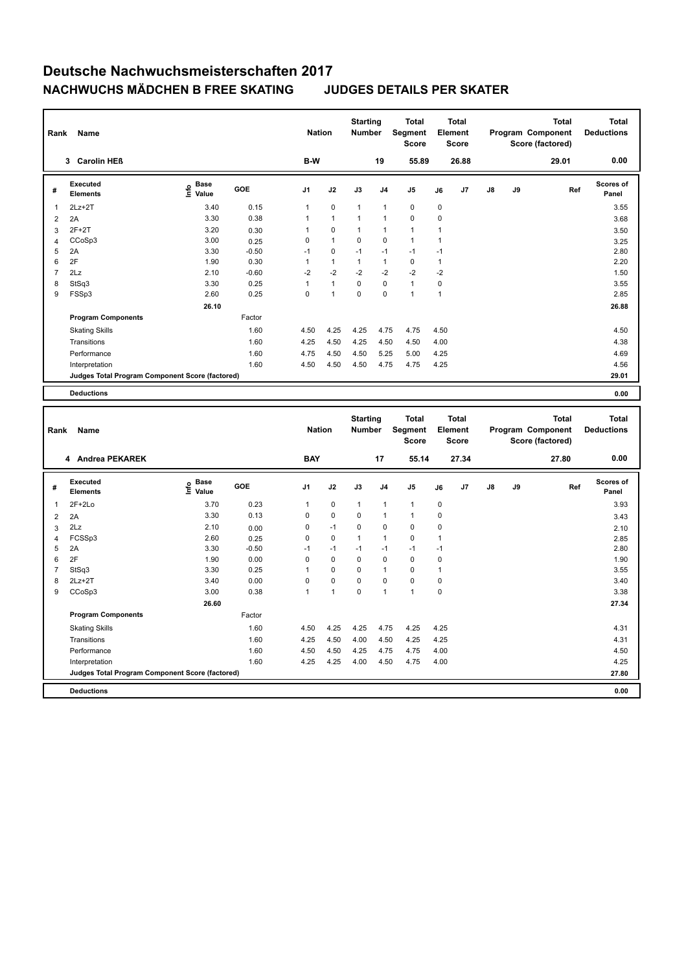| Rank           | Name                                            |                                                  |         | <b>Nation</b> |              | <b>Starting</b><br>Number |                | <b>Total</b><br>Segment<br><b>Score</b> |                | <b>Total</b><br>Element<br><b>Score</b> |    |    | <b>Total</b><br>Program Component<br>Score (factored) | <b>Total</b><br><b>Deductions</b> |
|----------------|-------------------------------------------------|--------------------------------------------------|---------|---------------|--------------|---------------------------|----------------|-----------------------------------------|----------------|-----------------------------------------|----|----|-------------------------------------------------------|-----------------------------------|
|                | 3 Carolin HEß                                   |                                                  |         | B-W           |              |                           | 19             | 55.89                                   |                | 26.88                                   |    |    | 29.01                                                 | 0.00                              |
| #              | Executed<br><b>Elements</b>                     | <b>Base</b><br>$\mathop{\mathsf{Info}}$<br>Value | GOE     | J1            | J2           | J3                        | J4             | J5                                      | J6             | J7                                      | J8 | J9 | Ref                                                   | Scores of<br>Panel                |
| $\mathbf{1}$   | $2Lz + 2T$                                      | 3.40                                             | 0.15    | $\mathbf{1}$  | $\mathbf 0$  | 1                         | 1              | 0                                       | $\pmb{0}$      |                                         |    |    |                                                       | 3.55                              |
| $\overline{2}$ | 2A                                              | 3.30                                             | 0.38    | 1             | $\mathbf{1}$ | $\mathbf{1}$              | 1              | $\mathbf 0$                             | $\mathbf 0$    |                                         |    |    |                                                       | 3.68                              |
| 3              | $2F+2T$                                         | 3.20                                             | 0.30    | $\mathbf{1}$  | $\Omega$     | $\mathbf{1}$              | 1              | $\mathbf{1}$                            | $\overline{1}$ |                                         |    |    |                                                       | 3.50                              |
| $\overline{4}$ | CCoSp3                                          | 3.00                                             | 0.25    | 0             | $\mathbf{1}$ | 0                         | 0              | $\mathbf{1}$                            | $\overline{1}$ |                                         |    |    |                                                       | 3.25                              |
| 5              | 2A                                              | 3.30                                             | $-0.50$ | $-1$          | 0            | $-1$                      | $-1$           | $-1$                                    | $-1$           |                                         |    |    |                                                       | 2.80                              |
| 6              | 2F                                              | 1.90                                             | 0.30    | $\mathbf{1}$  | $\mathbf{1}$ | $\mathbf{1}$              | $\mathbf{1}$   | $\mathbf 0$                             | $\mathbf{1}$   |                                         |    |    |                                                       | 2.20                              |
| $\overline{7}$ | 2Lz                                             | 2.10                                             | $-0.60$ | $-2$          | $-2$         | $-2$                      | $-2$           | $-2$                                    | $-2$           |                                         |    |    |                                                       | 1.50                              |
| 8              | StSq3                                           | 3.30                                             | 0.25    | 1             | $\mathbf{1}$ | 0                         | 0              | $\mathbf{1}$                            | $\pmb{0}$      |                                         |    |    |                                                       | 3.55                              |
| 9              | FSSp3                                           | 2.60                                             | 0.25    | 0             | $\mathbf{1}$ | $\mathbf 0$               | 0              | $\mathbf{1}$                            | $\overline{1}$ |                                         |    |    |                                                       | 2.85                              |
|                |                                                 | 26.10                                            |         |               |              |                           |                |                                         |                |                                         |    |    |                                                       | 26.88                             |
|                | <b>Program Components</b>                       |                                                  | Factor  |               |              |                           |                |                                         |                |                                         |    |    |                                                       |                                   |
|                | <b>Skating Skills</b>                           |                                                  | 1.60    | 4.50          | 4.25         | 4.25                      | 4.75           | 4.75                                    | 4.50           |                                         |    |    |                                                       | 4.50                              |
|                | Transitions                                     |                                                  | 1.60    | 4.25          | 4.50         | 4.25                      | 4.50           | 4.50                                    | 4.00           |                                         |    |    |                                                       | 4.38                              |
|                | Performance                                     |                                                  | 1.60    | 4.75          | 4.50         | 4.50                      | 5.25           | 5.00                                    | 4.25           |                                         |    |    |                                                       | 4.69                              |
|                | Interpretation                                  |                                                  | 1.60    | 4.50          | 4.50         | 4.50                      | 4.75           | 4.75                                    | 4.25           |                                         |    |    |                                                       | 4.56                              |
|                | Judges Total Program Component Score (factored) |                                                  |         |               |              |                           |                |                                         |                |                                         |    |    |                                                       | 29.01                             |
|                | <b>Deductions</b>                               |                                                  |         |               |              |                           |                |                                         |                |                                         |    |    |                                                       | 0.00                              |
|                |                                                 |                                                  |         |               |              |                           |                |                                         |                |                                         |    |    |                                                       |                                   |
|                |                                                 |                                                  |         |               |              |                           |                |                                         |                |                                         |    |    |                                                       |                                   |
|                |                                                 |                                                  |         |               |              | <b>Starting</b>           |                | <b>Total</b>                            |                | <b>Total</b>                            |    |    | <b>Total</b>                                          | <b>Total</b>                      |
| Rank           | Name                                            |                                                  |         | <b>Nation</b> |              | Number                    |                | <b>Segment</b><br><b>Score</b>          |                | Element<br>Score                        |    |    | Program Component<br>Score (factored)                 | <b>Deductions</b>                 |
|                | 4 Andrea PEKAREK                                |                                                  |         | <b>BAY</b>    |              |                           | 17             | 55.14                                   |                | 27.34                                   |    |    | 27.80                                                 | 0.00                              |
|                |                                                 |                                                  |         |               |              |                           |                |                                         |                |                                         |    |    |                                                       |                                   |
| #              | Executed<br><b>Elements</b>                     | <b>Base</b><br>e Base<br>⊆ Value                 | GOE     | J1            | J2           | J3                        | J <sub>4</sub> | J <sub>5</sub>                          | J6             | J7                                      | J8 | J9 | Ref                                                   | Scores of<br>Panel                |
| $\mathbf{1}$   | 2F+2Lo                                          | 3.70                                             | 0.23    | $\mathbf{1}$  | 0            | 1                         | 1              | $\mathbf{1}$                            | $\pmb{0}$      |                                         |    |    |                                                       | 3.93                              |
| $\overline{2}$ | 2A                                              | 3.30                                             | 0.13    | 0             | 0            | $\mathbf 0$               | 1              | $\mathbf{1}$                            | $\mathbf 0$    |                                         |    |    |                                                       | 3.43                              |
| 3              | 2Lz                                             | 2.10                                             | 0.00    | 0             | $-1$         | $\Omega$                  | $\Omega$       | $\Omega$                                | $\mathbf 0$    |                                         |    |    |                                                       | 2.10                              |
| $\overline{4}$ | FCSSp3                                          | 2.60                                             | 0.25    | 0             | $\pmb{0}$    | $\mathbf{1}$              | $\mathbf{1}$   | $\pmb{0}$                               | $\overline{1}$ |                                         |    |    |                                                       | 2.85                              |
| 5              | 2A                                              | 3.30                                             | $-0.50$ | $-1$          | $-1$         | $-1$                      | $-1$           | $-1$                                    | $-1$           |                                         |    |    |                                                       | 2.80                              |
| 6              | 2F                                              | 1.90                                             | 0.00    | 0             | $\mathbf 0$  | 0                         | $\mathbf 0$    | $\mathbf 0$                             | $\mathbf 0$    |                                         |    |    |                                                       | 1.90                              |
| $\overline{7}$ | StSq3                                           | 3.30                                             | 0.25    | $\mathbf{1}$  | 0            | 0                         | $\mathbf{1}$   | $\pmb{0}$                               | $\overline{1}$ |                                         |    |    |                                                       | 3.55                              |
| 8              | $2Lz+2T$                                        | 3.40                                             | 0.00    | 0             | 0            | 0                         | 0              | $\mathbf 0$                             | $\pmb{0}$      |                                         |    |    |                                                       | 3.40                              |
| 9              | CCoSp3                                          | 3.00                                             | 0.38    | $\mathbf{1}$  | $\mathbf{1}$ | $\mathbf 0$               | $\mathbf{1}$   | $\mathbf{1}$                            | $\mathbf 0$    |                                         |    |    |                                                       | 3.38                              |
|                |                                                 | 26.60                                            |         |               |              |                           |                |                                         |                |                                         |    |    |                                                       | 27.34                             |
|                | <b>Program Components</b>                       |                                                  | Factor  |               |              |                           |                |                                         |                |                                         |    |    |                                                       |                                   |
|                | <b>Skating Skills</b>                           |                                                  | 1.60    | 4.50          | 4.25         | 4.25                      | 4.75           | 4.25                                    | 4.25           |                                         |    |    |                                                       | 4.31                              |
|                | Transitions                                     |                                                  | 1.60    | 4.25          | 4.50         | 4.00                      | 4.50           | 4.25                                    | 4.25           |                                         |    |    |                                                       | 4.31                              |
|                | Performance                                     |                                                  | 1.60    | 4.50          | 4.50         | 4.25                      | 4.75           | 4.75                                    | 4.00           |                                         |    |    |                                                       | 4.50                              |
|                | Interpretation                                  |                                                  | 1.60    | 4.25          | 4.25         | 4.00                      | 4.50           | 4.75                                    | 4.00           |                                         |    |    |                                                       | 4.25<br>27.80                     |

**Deductions 0.00**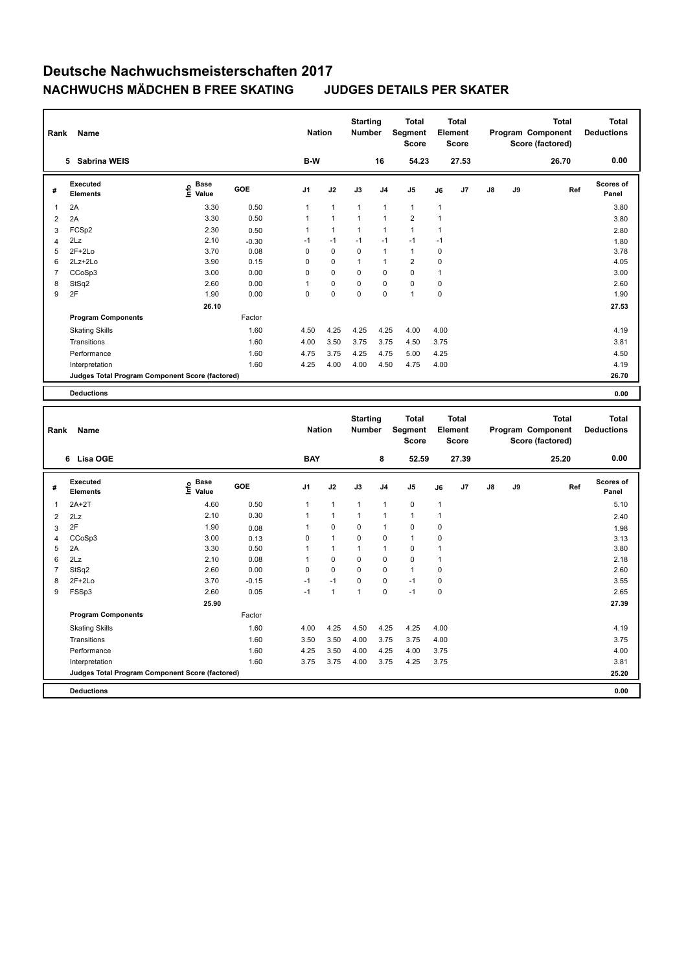| Rank                    | Name                                            |                                      |              | <b>Nation</b>  |              | <b>Starting</b><br>Number |                | <b>Total</b><br>Segment<br><b>Score</b> |                | <b>Total</b><br>Element<br><b>Score</b> |    |    | <b>Total</b><br>Program Component<br>Score (factored) | <b>Total</b><br><b>Deductions</b> |
|-------------------------|-------------------------------------------------|--------------------------------------|--------------|----------------|--------------|---------------------------|----------------|-----------------------------------------|----------------|-----------------------------------------|----|----|-------------------------------------------------------|-----------------------------------|
|                         | 5 Sabrina WEIS                                  |                                      |              | B-W            |              |                           | 16             | 54.23                                   |                | 27.53                                   |    |    | 26.70                                                 | 0.00                              |
| #                       | Executed<br><b>Elements</b>                     | Base<br>lnfo<br>Value                | <b>GOE</b>   | J <sub>1</sub> | J2           | J3                        | J <sub>4</sub> | J <sub>5</sub>                          | J6             | J7                                      | J8 | J9 | Ref                                                   | Scores of<br>Panel                |
| $\mathbf{1}$            | 2A                                              | 3.30                                 | 0.50         | $\mathbf{1}$   | 1            | $\mathbf{1}$              | 1              | $\mathbf{1}$                            | $\mathbf{1}$   |                                         |    |    |                                                       | 3.80                              |
| $\overline{c}$          | 2A                                              | 3.30                                 | 0.50         | $\mathbf{1}$   | $\mathbf{1}$ | $\mathbf{1}$              | $\mathbf{1}$   | $\boldsymbol{2}$                        | $\mathbf{1}$   |                                         |    |    |                                                       | 3.80                              |
| 3                       | FCSp2                                           | 2.30                                 | 0.50         | $\mathbf{1}$   | $\mathbf{1}$ | $\mathbf{1}$              | $\mathbf{1}$   | $\mathbf{1}$                            | $\mathbf{1}$   |                                         |    |    |                                                       | 2.80                              |
| $\overline{\mathbf{4}}$ | 2Lz                                             | 2.10                                 | $-0.30$      | $-1$           | $-1$         | $-1$                      | $-1$           | $-1$                                    | $-1$           |                                         |    |    |                                                       | 1.80                              |
| 5                       | $2F+2Lo$                                        | 3.70                                 | 0.08         | 0              | $\mathbf 0$  | $\mathbf 0$               | $\mathbf{1}$   | $\mathbf{1}$                            | $\mathbf 0$    |                                         |    |    |                                                       | 3.78                              |
| 6                       | 2Lz+2Lo                                         | 3.90                                 | 0.15         | 0              | $\mathbf 0$  | $\mathbf{1}$              | $\mathbf{1}$   | $\overline{2}$                          | $\mathbf 0$    |                                         |    |    |                                                       | 4.05                              |
| $\overline{7}$          | CCoSp3                                          | 3.00                                 | 0.00         | 0              | 0            | 0                         | $\mathbf 0$    | $\mathbf 0$                             | $\overline{1}$ |                                         |    |    |                                                       | 3.00                              |
| 8                       | StSq2                                           | 2.60                                 | 0.00         | $\mathbf{1}$   | 0            | 0                         | $\pmb{0}$      | $\pmb{0}$                               | $\mathbf 0$    |                                         |    |    |                                                       | 2.60                              |
| 9                       | 2F                                              | 1.90                                 | 0.00         | 0              | 0            | 0                         | 0              | $\mathbf{1}$                            | $\mathbf 0$    |                                         |    |    |                                                       | 1.90                              |
|                         |                                                 | 26.10                                |              |                |              |                           |                |                                         |                |                                         |    |    |                                                       | 27.53                             |
|                         | <b>Program Components</b>                       |                                      | Factor       |                |              |                           |                |                                         |                |                                         |    |    |                                                       |                                   |
|                         | <b>Skating Skills</b>                           |                                      | 1.60         | 4.50           | 4.25         | 4.25                      | 4.25           | 4.00                                    | 4.00           |                                         |    |    |                                                       | 4.19                              |
|                         | Transitions                                     |                                      | 1.60         | 4.00           | 3.50         | 3.75                      | 3.75           | 4.50                                    | 3.75           |                                         |    |    |                                                       | 3.81                              |
|                         | Performance                                     |                                      | 1.60         | 4.75           | 3.75         | 4.25                      | 4.75           | 5.00                                    | 4.25           |                                         |    |    |                                                       | 4.50                              |
|                         | Interpretation                                  |                                      | 1.60         | 4.25           | 4.00         | 4.00                      | 4.50           | 4.75                                    | 4.00           |                                         |    |    |                                                       | 4.19                              |
|                         | Judges Total Program Component Score (factored) |                                      |              |                |              |                           |                |                                         |                |                                         |    |    |                                                       | 26.70                             |
|                         | <b>Deductions</b>                               |                                      |              |                |              |                           |                |                                         |                |                                         |    |    |                                                       | 0.00                              |
|                         |                                                 |                                      |              |                |              |                           |                |                                         |                |                                         |    |    |                                                       |                                   |
|                         |                                                 |                                      |              |                |              |                           |                |                                         |                |                                         |    |    |                                                       |                                   |
| Rank                    | Name                                            |                                      |              | <b>Nation</b>  |              | <b>Starting</b><br>Number |                | <b>Total</b><br>Segment<br><b>Score</b> |                | <b>Total</b><br>Element<br><b>Score</b> |    |    | <b>Total</b><br>Program Component<br>Score (factored) | <b>Total</b><br><b>Deductions</b> |
|                         | 6 Lisa OGE                                      |                                      |              | <b>BAY</b>     |              |                           | 8              | 52.59                                   |                | 27.39                                   |    |    | 25.20                                                 | 0.00                              |
| #                       | Executed<br><b>Elements</b>                     | Base<br>e <sup>Base</sup><br>⊆ Value | GOE          | J <sub>1</sub> | J2           | J3                        | J <sub>4</sub> | J5                                      | J6             | J7                                      | J8 | J9 | Ref                                                   | Scores of<br>Panel                |
| $\mathbf{1}$            | $2A+2T$                                         | 4.60                                 | 0.50         | $\mathbf{1}$   | $\mathbf{1}$ | $\mathbf{1}$              | $\mathbf{1}$   | $\pmb{0}$                               | $\mathbf{1}$   |                                         |    |    |                                                       | 5.10                              |
|                         |                                                 | 2.10                                 | 0.30         | $\mathbf{1}$   | $\mathbf{1}$ | $\mathbf{1}$              | $\mathbf{1}$   | $\mathbf{1}$                            | $\mathbf{1}$   |                                         |    |    |                                                       |                                   |
| $\overline{2}$          | 2Lz<br>2F                                       | 1.90                                 |              | $\mathbf{1}$   | 0            | 0                         | 1              | $\mathbf 0$                             | $\mathbf 0$    |                                         |    |    |                                                       | 2.40                              |
| 3                       | CCoSp3                                          | 3.00                                 | 0.08         | 0              | $\mathbf{1}$ | $\mathbf 0$               | $\mathbf 0$    | $\mathbf{1}$                            | $\mathbf 0$    |                                         |    |    |                                                       | 1.98                              |
| $\overline{4}$<br>5     | 2A                                              | 3.30                                 | 0.13<br>0.50 | $\overline{1}$ | $\mathbf{1}$ | $\mathbf{1}$              | $\mathbf{1}$   | $\pmb{0}$                               | $\mathbf{1}$   |                                         |    |    |                                                       | 3.13<br>3.80                      |
| 6                       | 2Lz                                             | 2.10                                 | 0.08         | $\mathbf{1}$   | 0            | 0                         | 0              | $\mathbf 0$                             | $\mathbf{1}$   |                                         |    |    |                                                       | 2.18                              |
| $\overline{7}$          | StSq2                                           | 2.60                                 | 0.00         | 0              | 0            | 0                         | $\mathbf 0$    | $\overline{1}$                          | $\mathbf 0$    |                                         |    |    |                                                       | 2.60                              |
| 8                       | $2F+2Lo$                                        | 3.70                                 | $-0.15$      | $-1$           | $-1$         | 0                         | $\mathbf 0$    | $-1$                                    | $\pmb{0}$      |                                         |    |    |                                                       | 3.55                              |
| 9                       | FSSp3                                           | 2.60                                 | 0.05         | $-1$           | $\mathbf{1}$ | $\mathbf{1}$              | 0              | $-1$                                    | $\mathbf 0$    |                                         |    |    |                                                       | 2.65                              |
|                         |                                                 | 25.90                                |              |                |              |                           |                |                                         |                |                                         |    |    |                                                       | 27.39                             |
|                         | <b>Program Components</b>                       |                                      | Factor       |                |              |                           |                |                                         |                |                                         |    |    |                                                       |                                   |
|                         | <b>Skating Skills</b>                           |                                      | 1.60         | 4.00           | 4.25         | 4.50                      | 4.25           | 4.25                                    | 4.00           |                                         |    |    |                                                       | 4.19                              |
|                         | Transitions                                     |                                      | 1.60         | 3.50           | 3.50         | 4.00                      | 3.75           | 3.75                                    | 4.00           |                                         |    |    |                                                       | 3.75                              |
|                         | Performance                                     |                                      | 1.60         | 4.25           | 3.50         | 4.00                      | 4.25           | 4.00                                    | 3.75           |                                         |    |    |                                                       | 4.00                              |
|                         | Interpretation                                  |                                      | 1.60         | 3.75           | 3.75         | 4.00                      | 3.75           | 4.25                                    | 3.75           |                                         |    |    |                                                       | 3.81                              |

**Deductions 0.00**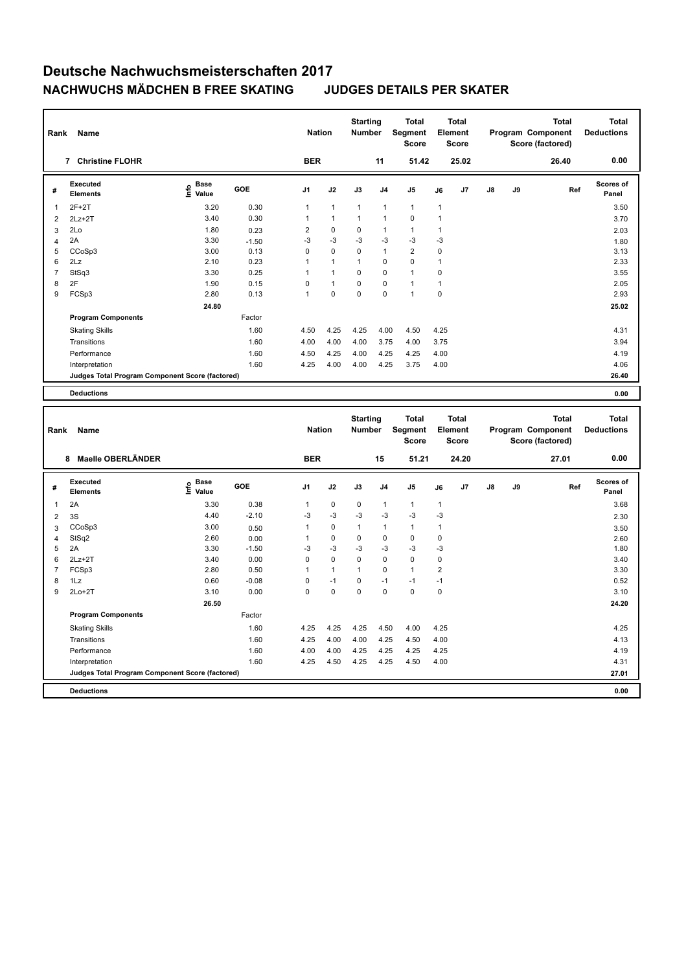| Rank           | Name                                                              |                                  |         | <b>Nation</b>  |              | <b>Starting</b><br>Number |                | <b>Total</b><br>Segment<br><b>Score</b> |              | <b>Total</b><br>Element<br>Score |    |    | <b>Total</b><br>Program Component<br>Score (factored) | <b>Total</b><br><b>Deductions</b> |
|----------------|-------------------------------------------------------------------|----------------------------------|---------|----------------|--------------|---------------------------|----------------|-----------------------------------------|--------------|----------------------------------|----|----|-------------------------------------------------------|-----------------------------------|
|                | 7 Christine FLOHR                                                 |                                  |         | <b>BER</b>     |              |                           | 11             | 51.42                                   |              | 25.02                            |    |    | 26.40                                                 | 0.00                              |
| #              | <b>Executed</b><br><b>Elements</b>                                | <b>Base</b><br>e Base<br>⊆ Value | GOE     | J1             | J2           | J3                        | J <sub>4</sub> | J5                                      | J6           | J7                               | J8 | J9 | Ref                                                   | Scores of<br>Panel                |
| $\mathbf{1}$   | $2F+2T$                                                           | 3.20                             | 0.30    | $\mathbf{1}$   | $\mathbf{1}$ | $\mathbf{1}$              | $\mathbf{1}$   | $\mathbf{1}$                            | $\mathbf{1}$ |                                  |    |    |                                                       | 3.50                              |
| $\overline{2}$ | $2Lz+2T$                                                          | 3.40                             | 0.30    | $\mathbf{1}$   | $\mathbf{1}$ | $\mathbf{1}$              | $\mathbf{1}$   | $\mathbf 0$                             | $\mathbf{1}$ |                                  |    |    |                                                       | 3.70                              |
| 3              | 2Lo                                                               | 1.80                             | 0.23    | $\overline{2}$ | 0            | 0                         | $\mathbf{1}$   | $\mathbf{1}$                            | $\mathbf{1}$ |                                  |    |    |                                                       | 2.03                              |
| $\overline{4}$ | 2A                                                                | 3.30                             | $-1.50$ | $-3$           | $-3$         | $-3$                      | $-3$           | $-3$                                    | $-3$         |                                  |    |    |                                                       | 1.80                              |
| 5              | CCoSp3                                                            | 3.00                             | 0.13    | 0              | $\mathbf 0$  | 0                         | $\mathbf{1}$   | $\overline{2}$                          | $\mathbf 0$  |                                  |    |    |                                                       | 3.13                              |
| 6              | 2Lz                                                               | 2.10                             | 0.23    | $\mathbf{1}$   | $\mathbf{1}$ | $\mathbf{1}$              | $\pmb{0}$      | $\pmb{0}$                               | $\mathbf{1}$ |                                  |    |    |                                                       | 2.33                              |
| $\overline{7}$ | StSq3                                                             | 3.30                             | 0.25    | $\mathbf{1}$   | $\mathbf{1}$ | 0                         | $\mathbf 0$    | $\overline{1}$                          | $\mathbf 0$  |                                  |    |    |                                                       | 3.55                              |
| 8              | 2F                                                                | 1.90                             | 0.15    | 0              | $\mathbf{1}$ | 0                         | $\mathbf 0$    | $\mathbf{1}$                            | $\mathbf{1}$ |                                  |    |    |                                                       | 2.05                              |
| 9              | FCSp3                                                             | 2.80                             | 0.13    | $\mathbf{1}$   | $\mathbf 0$  | $\mathbf 0$               | $\Omega$       | $\mathbf{1}$                            | $\pmb{0}$    |                                  |    |    |                                                       | 2.93                              |
|                |                                                                   | 24.80                            |         |                |              |                           |                |                                         |              |                                  |    |    |                                                       | 25.02                             |
|                | <b>Program Components</b>                                         |                                  | Factor  |                |              |                           |                |                                         |              |                                  |    |    |                                                       |                                   |
|                | <b>Skating Skills</b>                                             |                                  | 1.60    | 4.50           | 4.25         | 4.25                      | 4.00           | 4.50                                    | 4.25         |                                  |    |    |                                                       | 4.31                              |
|                | Transitions                                                       |                                  | 1.60    | 4.00           | 4.00         | 4.00                      | 3.75           | 4.00                                    | 3.75         |                                  |    |    |                                                       | 3.94                              |
|                | Performance                                                       |                                  | 1.60    | 4.50           | 4.25         | 4.00                      | 4.25           | 4.25                                    | 4.00         |                                  |    |    |                                                       | 4.19                              |
|                | Interpretation                                                    |                                  | 1.60    | 4.25           | 4.00         | 4.00                      | 4.25           | 3.75                                    | 4.00         |                                  |    |    |                                                       | 4.06                              |
|                | Judges Total Program Component Score (factored)                   |                                  |         |                |              |                           |                |                                         |              |                                  |    |    |                                                       | 26.40                             |
|                | <b>Deductions</b>                                                 |                                  |         |                |              |                           |                |                                         |              |                                  |    |    |                                                       | 0.00                              |
|                |                                                                   |                                  |         |                |              |                           |                |                                         |              |                                  |    |    |                                                       |                                   |
| Rank           | Name                                                              |                                  |         |                |              | <b>Starting</b>           |                | <b>Total</b>                            |              | <b>Total</b>                     |    |    | <b>Total</b>                                          |                                   |
|                |                                                                   |                                  |         | <b>Nation</b>  |              | Number                    |                | <b>Segment</b><br><b>Score</b>          |              | <b>Element</b><br><b>Score</b>   |    |    | Program Component<br>Score (factored)                 | <b>Total</b><br><b>Deductions</b> |
|                | 8 Maelle OBERLÄNDER                                               |                                  |         | <b>BER</b>     |              |                           | 15             | 51.21                                   |              | 24.20                            |    |    | 27.01                                                 | 0.00                              |
| #              | <b>Executed</b>                                                   | Base                             | GOE     | J <sub>1</sub> | J2           | J3                        | J <sub>4</sub> | J <sub>5</sub>                          | J6           | J7                               | J8 | J9 | Ref                                                   | Scores of                         |
|                | <b>Elements</b>                                                   | e Base<br>⊆ Value                |         |                |              |                           |                |                                         |              |                                  |    |    |                                                       | Panel                             |
| $\mathbf{1}$   | 2A                                                                | 3.30                             | 0.38    | $\mathbf{1}$   | $\pmb{0}$    | $\pmb{0}$                 | $\mathbf{1}$   | $\mathbf{1}$                            | $\mathbf{1}$ |                                  |    |    |                                                       | 3.68                              |
| $\overline{2}$ | 3S                                                                | 4.40                             | $-2.10$ | $-3$           | $-3$         | $-3$                      | $-3$           | $-3$                                    | $-3$         |                                  |    |    |                                                       | 2.30                              |
| 3              | CCoSp3                                                            | 3.00                             | 0.50    | $\mathbf{1}$   | $\mathbf 0$  | $\mathbf{1}$              | $\mathbf{1}$   | $\mathbf{1}$                            | $\mathbf{1}$ |                                  |    |    |                                                       | 3.50                              |
| $\overline{4}$ | StSq2                                                             | 2.60                             | 0.00    | $\mathbf{1}$   | $\mathbf 0$  | 0                         | $\mathbf 0$    | $\pmb{0}$                               | $\pmb{0}$    |                                  |    |    |                                                       | 2.60                              |
| 5              | 2A                                                                | 3.30                             | $-1.50$ | $-3$           | $-3$         | $-3$                      | $-3$           | $-3$                                    | $-3$         |                                  |    |    |                                                       | 1.80                              |
| 6              | $2Lz+2T$                                                          | 3.40                             | 0.00    | $\mathbf 0$    | 0            | 0                         | $\mathbf 0$    | $\pmb{0}$                               | $\pmb{0}$    |                                  |    |    |                                                       | 3.40                              |
| $\overline{7}$ | FCSp3                                                             | 2.80                             | 0.50    | $\mathbf{1}$   | $\mathbf{1}$ | $\mathbf{1}$              | $\mathbf 0$    | $\mathbf{1}$                            | $\sqrt{2}$   |                                  |    |    |                                                       | 3.30                              |
| 8              | 1Lz                                                               | 0.60                             | $-0.08$ | 0              | $-1$         | 0                         | $-1$           | $-1$                                    | $-1$         |                                  |    |    |                                                       | 0.52                              |
| 9              | $2Lo+2T$                                                          | 3.10                             | 0.00    | 0              | 0            | 0                         | $\mathbf 0$    | $\mathbf 0$                             | $\mathbf 0$  |                                  |    |    |                                                       | 3.10                              |
|                |                                                                   | 26.50                            |         |                |              |                           |                |                                         |              |                                  |    |    |                                                       | 24.20                             |
|                | <b>Program Components</b>                                         |                                  | Factor  |                |              |                           |                |                                         |              |                                  |    |    |                                                       |                                   |
|                | <b>Skating Skills</b>                                             |                                  | 1.60    | 4.25           | 4.25         | 4.25                      | 4.50           | 4.00                                    | 4.25         |                                  |    |    |                                                       | 4.25                              |
|                | Transitions                                                       |                                  | 1.60    | 4.25           | 4.00         | 4.00                      | 4.25           | 4.50                                    | 4.00         |                                  |    |    |                                                       | 4.13                              |
|                | Performance                                                       |                                  | 1.60    | 4.00           | 4.00         | 4.25                      | 4.25           | 4.25                                    | 4.25         |                                  |    |    |                                                       | 4.19                              |
|                | Interpretation<br>Judges Total Program Component Score (factored) |                                  | 1.60    | 4.25           | 4.50         | 4.25                      | 4.25           | 4.50                                    | 4.00         |                                  |    |    |                                                       | 4.31<br>27.01                     |

**Deductions 0.00**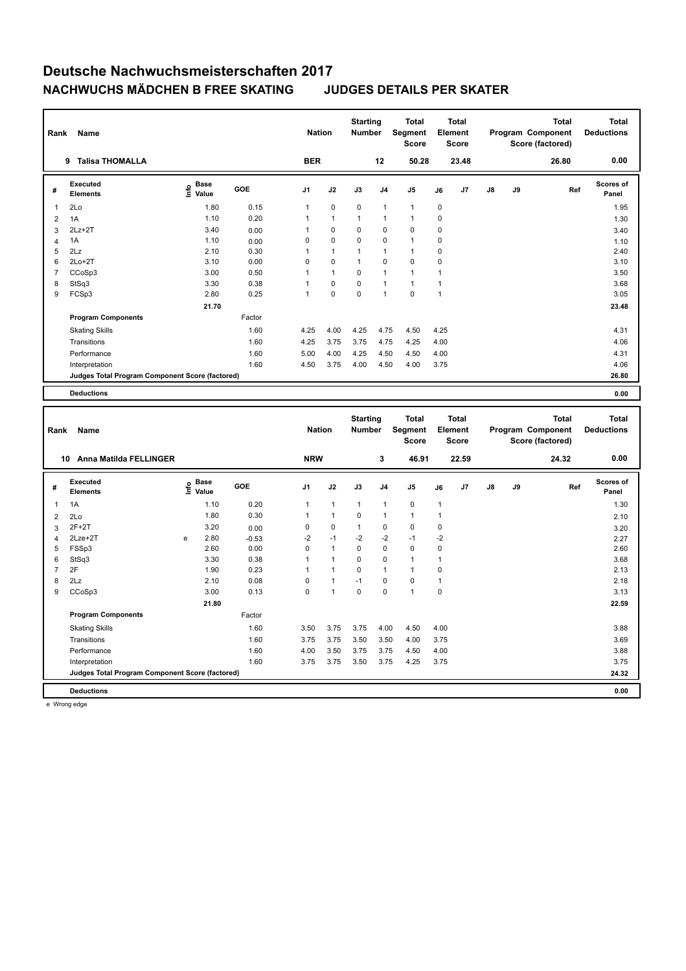| 9 Talisa THOMALLA<br><b>BER</b><br>12<br>50.28<br>23.48<br>26.80<br>Scores of<br><b>Executed</b><br><b>Base</b><br>lnfo<br>GOE<br>J9<br>J <sub>1</sub><br>J2<br>J3<br>J <sub>4</sub><br>J5<br>J7<br>J8<br>Ref<br>J6<br>#<br><b>Elements</b><br>Value<br>Panel<br>2Lo<br>1.80<br>0.15<br>$\mathbf{1}$<br>$\mathbf 0$<br>$\mathbf 0$<br>$\mathbf{1}$<br>$\mathbf 0$<br>$\mathbf{1}$<br>$\mathbf{1}$<br>$\mathbf 0$<br>1.10<br>0.20<br>1<br>1<br>1<br>1<br>1A<br>$\mathbf{1}$<br>$\overline{2}$<br>$\mathbf 0$<br>$\Omega$<br>$\mathbf 0$<br>$2Lz+2T$<br>3.40<br>$\overline{1}$<br>$\Omega$<br>$\mathbf 0$<br>3<br>0.00<br>$\mathbf 0$<br>0<br>$\mathbf 0$<br>$\mathbf 0$<br>1.10<br>$\mathbf 0$<br>$\mathbf{1}$<br>1A<br>0.00<br>$\overline{4}$<br>2.10<br>$\mathbf 0$<br>5<br>2Lz<br>0.30<br>1<br>$\mathbf{1}$<br>1<br>$\mathbf{1}$<br>$\mathbf{1}$<br>6<br>$2Lo+2T$<br>3.10<br>0.00<br>0<br>$\mathbf 0$<br>$\mathbf 0$<br>$\mathbf 0$<br>0<br>$\mathbf{1}$<br>$\mathbf{1}$<br>$\mathbf{1}$<br>$\overline{7}$<br>CCoSp3<br>3.00<br>1<br>$\mathbf{1}$<br>0<br>$\mathbf{1}$<br>0.50<br>$\pmb{0}$<br>0<br>$\mathbf{1}$<br>$\mathbf{1}$<br>8<br>StSq3<br>3.30<br>0.38<br>$\overline{1}$<br>$\mathbf{1}$<br>$\mathbf 0$<br>0<br>$\overline{1}$<br>$\mathbf 0$<br>9<br>FCSp3<br>2.80<br>0.25<br>$\mathbf{1}$<br>$\mathbf{1}$<br>21.70<br><b>Program Components</b><br>Factor<br><b>Skating Skills</b><br>1.60<br>4.25<br>4.00<br>4.25<br>4.75<br>4.50<br>4.25<br>3.75<br>Transitions<br>1.60<br>4.25<br>3.75<br>4.75<br>4.25<br>4.00<br>Performance<br>1.60<br>5.00<br>4.00<br>4.25<br>4.50<br>4.50<br>4.00<br>1.60<br>4.50<br>3.75<br>4.00<br>4.00<br>3.75<br>Interpretation<br>4.50<br>Judges Total Program Component Score (factored) | 0.00<br>1.95<br>1.30<br>3.40<br>1.10<br>2.40<br>3.10<br>3.50<br>3.68<br>3.05<br>23.48<br>4.31<br>4.06<br>4.31<br>4.06<br>26.80 |
|-----------------------------------------------------------------------------------------------------------------------------------------------------------------------------------------------------------------------------------------------------------------------------------------------------------------------------------------------------------------------------------------------------------------------------------------------------------------------------------------------------------------------------------------------------------------------------------------------------------------------------------------------------------------------------------------------------------------------------------------------------------------------------------------------------------------------------------------------------------------------------------------------------------------------------------------------------------------------------------------------------------------------------------------------------------------------------------------------------------------------------------------------------------------------------------------------------------------------------------------------------------------------------------------------------------------------------------------------------------------------------------------------------------------------------------------------------------------------------------------------------------------------------------------------------------------------------------------------------------------------------------------------------------------------------------------------------------------------------------|--------------------------------------------------------------------------------------------------------------------------------|
|                                                                                                                                                                                                                                                                                                                                                                                                                                                                                                                                                                                                                                                                                                                                                                                                                                                                                                                                                                                                                                                                                                                                                                                                                                                                                                                                                                                                                                                                                                                                                                                                                                                                                                                                   |                                                                                                                                |
|                                                                                                                                                                                                                                                                                                                                                                                                                                                                                                                                                                                                                                                                                                                                                                                                                                                                                                                                                                                                                                                                                                                                                                                                                                                                                                                                                                                                                                                                                                                                                                                                                                                                                                                                   |                                                                                                                                |
|                                                                                                                                                                                                                                                                                                                                                                                                                                                                                                                                                                                                                                                                                                                                                                                                                                                                                                                                                                                                                                                                                                                                                                                                                                                                                                                                                                                                                                                                                                                                                                                                                                                                                                                                   |                                                                                                                                |
|                                                                                                                                                                                                                                                                                                                                                                                                                                                                                                                                                                                                                                                                                                                                                                                                                                                                                                                                                                                                                                                                                                                                                                                                                                                                                                                                                                                                                                                                                                                                                                                                                                                                                                                                   |                                                                                                                                |
|                                                                                                                                                                                                                                                                                                                                                                                                                                                                                                                                                                                                                                                                                                                                                                                                                                                                                                                                                                                                                                                                                                                                                                                                                                                                                                                                                                                                                                                                                                                                                                                                                                                                                                                                   |                                                                                                                                |
|                                                                                                                                                                                                                                                                                                                                                                                                                                                                                                                                                                                                                                                                                                                                                                                                                                                                                                                                                                                                                                                                                                                                                                                                                                                                                                                                                                                                                                                                                                                                                                                                                                                                                                                                   |                                                                                                                                |
|                                                                                                                                                                                                                                                                                                                                                                                                                                                                                                                                                                                                                                                                                                                                                                                                                                                                                                                                                                                                                                                                                                                                                                                                                                                                                                                                                                                                                                                                                                                                                                                                                                                                                                                                   |                                                                                                                                |
|                                                                                                                                                                                                                                                                                                                                                                                                                                                                                                                                                                                                                                                                                                                                                                                                                                                                                                                                                                                                                                                                                                                                                                                                                                                                                                                                                                                                                                                                                                                                                                                                                                                                                                                                   |                                                                                                                                |
|                                                                                                                                                                                                                                                                                                                                                                                                                                                                                                                                                                                                                                                                                                                                                                                                                                                                                                                                                                                                                                                                                                                                                                                                                                                                                                                                                                                                                                                                                                                                                                                                                                                                                                                                   |                                                                                                                                |
|                                                                                                                                                                                                                                                                                                                                                                                                                                                                                                                                                                                                                                                                                                                                                                                                                                                                                                                                                                                                                                                                                                                                                                                                                                                                                                                                                                                                                                                                                                                                                                                                                                                                                                                                   |                                                                                                                                |
|                                                                                                                                                                                                                                                                                                                                                                                                                                                                                                                                                                                                                                                                                                                                                                                                                                                                                                                                                                                                                                                                                                                                                                                                                                                                                                                                                                                                                                                                                                                                                                                                                                                                                                                                   |                                                                                                                                |
|                                                                                                                                                                                                                                                                                                                                                                                                                                                                                                                                                                                                                                                                                                                                                                                                                                                                                                                                                                                                                                                                                                                                                                                                                                                                                                                                                                                                                                                                                                                                                                                                                                                                                                                                   |                                                                                                                                |
|                                                                                                                                                                                                                                                                                                                                                                                                                                                                                                                                                                                                                                                                                                                                                                                                                                                                                                                                                                                                                                                                                                                                                                                                                                                                                                                                                                                                                                                                                                                                                                                                                                                                                                                                   |                                                                                                                                |
|                                                                                                                                                                                                                                                                                                                                                                                                                                                                                                                                                                                                                                                                                                                                                                                                                                                                                                                                                                                                                                                                                                                                                                                                                                                                                                                                                                                                                                                                                                                                                                                                                                                                                                                                   |                                                                                                                                |
|                                                                                                                                                                                                                                                                                                                                                                                                                                                                                                                                                                                                                                                                                                                                                                                                                                                                                                                                                                                                                                                                                                                                                                                                                                                                                                                                                                                                                                                                                                                                                                                                                                                                                                                                   |                                                                                                                                |
|                                                                                                                                                                                                                                                                                                                                                                                                                                                                                                                                                                                                                                                                                                                                                                                                                                                                                                                                                                                                                                                                                                                                                                                                                                                                                                                                                                                                                                                                                                                                                                                                                                                                                                                                   |                                                                                                                                |
|                                                                                                                                                                                                                                                                                                                                                                                                                                                                                                                                                                                                                                                                                                                                                                                                                                                                                                                                                                                                                                                                                                                                                                                                                                                                                                                                                                                                                                                                                                                                                                                                                                                                                                                                   |                                                                                                                                |
|                                                                                                                                                                                                                                                                                                                                                                                                                                                                                                                                                                                                                                                                                                                                                                                                                                                                                                                                                                                                                                                                                                                                                                                                                                                                                                                                                                                                                                                                                                                                                                                                                                                                                                                                   |                                                                                                                                |
|                                                                                                                                                                                                                                                                                                                                                                                                                                                                                                                                                                                                                                                                                                                                                                                                                                                                                                                                                                                                                                                                                                                                                                                                                                                                                                                                                                                                                                                                                                                                                                                                                                                                                                                                   |                                                                                                                                |
| <b>Deductions</b>                                                                                                                                                                                                                                                                                                                                                                                                                                                                                                                                                                                                                                                                                                                                                                                                                                                                                                                                                                                                                                                                                                                                                                                                                                                                                                                                                                                                                                                                                                                                                                                                                                                                                                                 | 0.00                                                                                                                           |
| <b>Starting</b><br><b>Total</b><br><b>Total</b><br><b>Total</b><br><b>Segment</b><br><b>Nation</b><br><b>Number</b><br>Element<br>Program Component<br><b>Deductions</b><br>Name<br>Rank<br><b>Score</b><br>Score (factored)<br><b>Score</b>                                                                                                                                                                                                                                                                                                                                                                                                                                                                                                                                                                                                                                                                                                                                                                                                                                                                                                                                                                                                                                                                                                                                                                                                                                                                                                                                                                                                                                                                                      | <b>Total</b>                                                                                                                   |
| 3<br>10 Anna Matilda FELLINGER<br><b>NRW</b><br>46.91<br>22.59<br>24.32                                                                                                                                                                                                                                                                                                                                                                                                                                                                                                                                                                                                                                                                                                                                                                                                                                                                                                                                                                                                                                                                                                                                                                                                                                                                                                                                                                                                                                                                                                                                                                                                                                                           | 0.00                                                                                                                           |
| Executed<br><b>Base</b><br>Scores of<br>lnfo<br>GOE<br>J7<br>J8<br>J9<br>J1<br>J2<br>J3<br>J4<br>J5<br>J6<br>Ref<br>#<br>Value<br><b>Elements</b><br>Panel                                                                                                                                                                                                                                                                                                                                                                                                                                                                                                                                                                                                                                                                                                                                                                                                                                                                                                                                                                                                                                                                                                                                                                                                                                                                                                                                                                                                                                                                                                                                                                        |                                                                                                                                |
| 0.20<br>$\pmb{0}$<br>1A<br>1.10<br>$\mathbf{1}$<br>$\mathbf{1}$<br>1<br>$\mathbf{1}$<br>$\mathbf{1}$<br>$\mathbf{1}$                                                                                                                                                                                                                                                                                                                                                                                                                                                                                                                                                                                                                                                                                                                                                                                                                                                                                                                                                                                                                                                                                                                                                                                                                                                                                                                                                                                                                                                                                                                                                                                                              | 1.30                                                                                                                           |
| 1.80<br>0.30<br>$\mathbf{1}$<br>$\mathbf{1}$<br>0<br>$\mathbf{1}$<br>$\mathbf{1}$<br>$\mathbf{1}$<br>$\overline{2}$<br>2Lo                                                                                                                                                                                                                                                                                                                                                                                                                                                                                                                                                                                                                                                                                                                                                                                                                                                                                                                                                                                                                                                                                                                                                                                                                                                                                                                                                                                                                                                                                                                                                                                                        | 2.10                                                                                                                           |
| $2F+2T$<br>0<br>0<br>$\mathbf 0$<br>$\pmb{0}$<br>$\mathbf 0$<br>3.20<br>1<br>3<br>0.00                                                                                                                                                                                                                                                                                                                                                                                                                                                                                                                                                                                                                                                                                                                                                                                                                                                                                                                                                                                                                                                                                                                                                                                                                                                                                                                                                                                                                                                                                                                                                                                                                                            | 3.20                                                                                                                           |
| $-2$<br>2.80<br>$-1$<br>$-2$<br>$-2$<br>$-1$<br>$-2$<br>2Lze+2T<br>e<br>$-0.53$<br>$\overline{4}$                                                                                                                                                                                                                                                                                                                                                                                                                                                                                                                                                                                                                                                                                                                                                                                                                                                                                                                                                                                                                                                                                                                                                                                                                                                                                                                                                                                                                                                                                                                                                                                                                                 | 2.27                                                                                                                           |
| FSSp3<br>2.60<br>0.00<br>$\mathbf 0$<br>$\mathbf{1}$<br>0<br>$\mathbf 0$<br>$\mathbf 0$<br>$\mathbf 0$<br>5                                                                                                                                                                                                                                                                                                                                                                                                                                                                                                                                                                                                                                                                                                                                                                                                                                                                                                                                                                                                                                                                                                                                                                                                                                                                                                                                                                                                                                                                                                                                                                                                                       | 2.60                                                                                                                           |
| StSq3<br>$\overline{1}$<br>$\mathbf{1}$<br>0<br>$\mathbf 0$<br>$\mathbf{1}$<br>$\mathbf{1}$<br>6<br>3.30<br>0.38                                                                                                                                                                                                                                                                                                                                                                                                                                                                                                                                                                                                                                                                                                                                                                                                                                                                                                                                                                                                                                                                                                                                                                                                                                                                                                                                                                                                                                                                                                                                                                                                                  | 3.68                                                                                                                           |
| $\overline{7}$<br>2F<br>1.90<br>0.23<br>$\overline{1}$<br>$\mathbf{1}$<br>0<br>$\overline{1}$<br>$\mathbf 0$<br>$\mathbf{1}$                                                                                                                                                                                                                                                                                                                                                                                                                                                                                                                                                                                                                                                                                                                                                                                                                                                                                                                                                                                                                                                                                                                                                                                                                                                                                                                                                                                                                                                                                                                                                                                                      |                                                                                                                                |
| $\pmb{0}$<br>$\mathbf{1}$<br>$\mathbf 0$<br>$\mathbf 0$<br>$\mathbf{1}$<br>8<br>2Lz<br>2.10<br>0.08<br>$-1$                                                                                                                                                                                                                                                                                                                                                                                                                                                                                                                                                                                                                                                                                                                                                                                                                                                                                                                                                                                                                                                                                                                                                                                                                                                                                                                                                                                                                                                                                                                                                                                                                       | 2.13                                                                                                                           |
| $\mathbf{0}$<br>$\mathbf{1}$<br>$\mathbf 0$<br>$\Omega$<br>$\mathbf{1}$<br>$\mathbf 0$<br>9<br>CCoSp3<br>3.00<br>0.13                                                                                                                                                                                                                                                                                                                                                                                                                                                                                                                                                                                                                                                                                                                                                                                                                                                                                                                                                                                                                                                                                                                                                                                                                                                                                                                                                                                                                                                                                                                                                                                                             | 2.18                                                                                                                           |
| 21.80                                                                                                                                                                                                                                                                                                                                                                                                                                                                                                                                                                                                                                                                                                                                                                                                                                                                                                                                                                                                                                                                                                                                                                                                                                                                                                                                                                                                                                                                                                                                                                                                                                                                                                                             | 3.13                                                                                                                           |
| <b>Program Components</b><br>Factor                                                                                                                                                                                                                                                                                                                                                                                                                                                                                                                                                                                                                                                                                                                                                                                                                                                                                                                                                                                                                                                                                                                                                                                                                                                                                                                                                                                                                                                                                                                                                                                                                                                                                               | 22.59                                                                                                                          |
|                                                                                                                                                                                                                                                                                                                                                                                                                                                                                                                                                                                                                                                                                                                                                                                                                                                                                                                                                                                                                                                                                                                                                                                                                                                                                                                                                                                                                                                                                                                                                                                                                                                                                                                                   |                                                                                                                                |
|                                                                                                                                                                                                                                                                                                                                                                                                                                                                                                                                                                                                                                                                                                                                                                                                                                                                                                                                                                                                                                                                                                                                                                                                                                                                                                                                                                                                                                                                                                                                                                                                                                                                                                                                   |                                                                                                                                |
| 1.60<br>3.50<br>3.75<br>3.75<br>4.00<br>4.50<br>4.00<br><b>Skating Skills</b>                                                                                                                                                                                                                                                                                                                                                                                                                                                                                                                                                                                                                                                                                                                                                                                                                                                                                                                                                                                                                                                                                                                                                                                                                                                                                                                                                                                                                                                                                                                                                                                                                                                     | 3.88                                                                                                                           |
| 1.60<br>3.75<br>3.75<br>3.50<br>3.50<br>3.75<br>Transitions<br>4.00<br>3.50<br>3.75<br>3.75<br>Performance<br>1.60<br>4.00<br>4.50<br>4.00                                                                                                                                                                                                                                                                                                                                                                                                                                                                                                                                                                                                                                                                                                                                                                                                                                                                                                                                                                                                                                                                                                                                                                                                                                                                                                                                                                                                                                                                                                                                                                                        | 3.69<br>3.88                                                                                                                   |

**Judges Total Program Component Score (factored) 24.32**

**Deductions 0.00**

e Wrong edge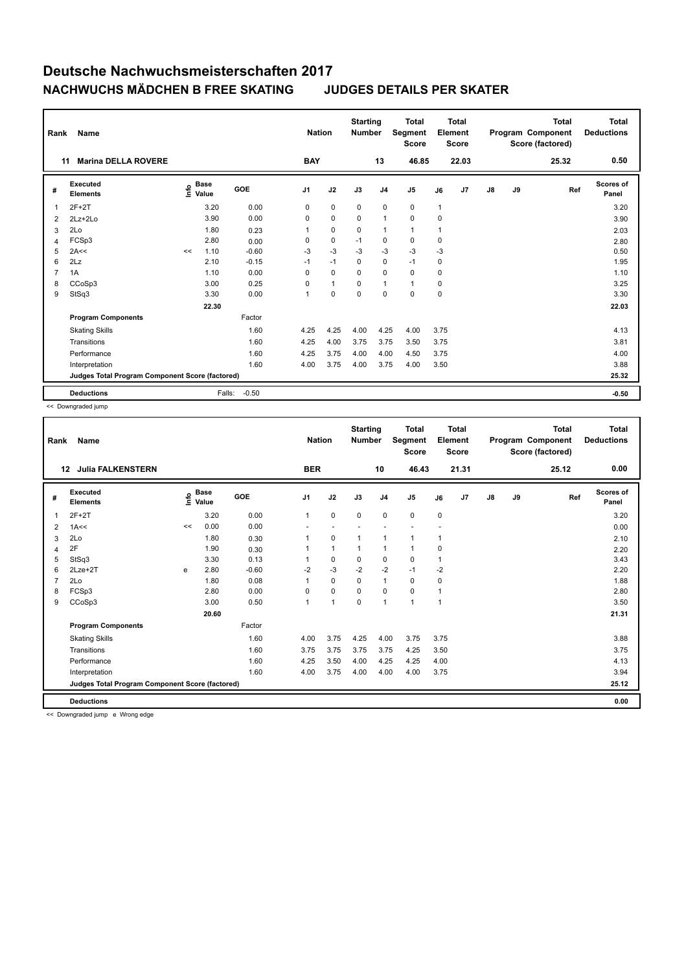| Rank           | <b>Name</b>                                     |      |                      |         | <b>Nation</b> |                | <b>Starting</b><br><b>Number</b> |                | <b>Total</b><br>Segment<br><b>Score</b> |              | Total<br>Element<br><b>Score</b> |               |    | Total<br>Program Component<br>Score (factored) | <b>Total</b><br><b>Deductions</b> |
|----------------|-------------------------------------------------|------|----------------------|---------|---------------|----------------|----------------------------------|----------------|-----------------------------------------|--------------|----------------------------------|---------------|----|------------------------------------------------|-----------------------------------|
| 11             | <b>Marina DELLA ROVERE</b>                      |      |                      |         | <b>BAY</b>    |                |                                  | 13             | 46.85                                   |              | 22.03                            |               |    | 25.32                                          | 0.50                              |
| #              | Executed<br><b>Elements</b>                     | lnfo | <b>Base</b><br>Value | GOE     | J1            | J2             | J3                               | J <sub>4</sub> | J5                                      | J6           | J7                               | $\mathsf{J}8$ | J9 | Ref                                            | Scores of<br>Panel                |
| $\overline{1}$ | $2F+2T$                                         |      | 3.20                 | 0.00    | 0             | $\mathbf 0$    | 0                                | $\mathbf 0$    | $\mathbf 0$                             | $\mathbf{1}$ |                                  |               |    |                                                | 3.20                              |
| $\overline{2}$ | $2Lz + 2Lo$                                     |      | 3.90                 | 0.00    | 0             | $\mathbf 0$    | $\mathbf 0$                      | $\mathbf{1}$   | $\mathbf 0$                             | $\mathbf 0$  |                                  |               |    |                                                | 3.90                              |
| 3              | 2Lo                                             |      | 1.80                 | 0.23    | 1             | $\pmb{0}$      | $\mathbf 0$                      | $\overline{1}$ | $\mathbf{1}$                            | 1            |                                  |               |    |                                                | 2.03                              |
| $\overline{4}$ | FCSp3                                           |      | 2.80                 | 0.00    | 0             | $\mathbf 0$    | $-1$                             | 0              | $\mathbf 0$                             | 0            |                                  |               |    |                                                | 2.80                              |
| 5              | 2A<<                                            | <<   | 1.10                 | $-0.60$ | $-3$          | $-3$           | $-3$                             | $-3$           | $-3$                                    | $-3$         |                                  |               |    |                                                | 0.50                              |
| 6              | 2Lz                                             |      | 2.10                 | $-0.15$ | $-1$          | $-1$           | $\Omega$                         | $\mathbf 0$    | $-1$                                    | 0            |                                  |               |    |                                                | 1.95                              |
| $\overline{7}$ | 1A                                              |      | 1.10                 | 0.00    | 0             | $\mathbf 0$    | 0                                | $\mathbf 0$    | $\mathbf 0$                             | 0            |                                  |               |    |                                                | 1.10                              |
| 8              | CCoSp3                                          |      | 3.00                 | 0.25    | 0             | $\overline{1}$ | $\Omega$                         | $\overline{1}$ | $\mathbf{1}$                            | 0            |                                  |               |    |                                                | 3.25                              |
| 9              | StSq3                                           |      | 3.30                 | 0.00    | 1             | $\pmb{0}$      | $\mathbf 0$                      | $\mathbf 0$    | $\mathbf 0$                             | $\mathbf 0$  |                                  |               |    |                                                | 3.30                              |
|                |                                                 |      | 22.30                |         |               |                |                                  |                |                                         |              |                                  |               |    |                                                | 22.03                             |
|                | <b>Program Components</b>                       |      |                      | Factor  |               |                |                                  |                |                                         |              |                                  |               |    |                                                |                                   |
|                | <b>Skating Skills</b>                           |      |                      | 1.60    | 4.25          | 4.25           | 4.00                             | 4.25           | 4.00                                    | 3.75         |                                  |               |    |                                                | 4.13                              |
|                | Transitions                                     |      |                      | 1.60    | 4.25          | 4.00           | 3.75                             | 3.75           | 3.50                                    | 3.75         |                                  |               |    |                                                | 3.81                              |
|                | Performance                                     |      |                      | 1.60    | 4.25          | 3.75           | 4.00                             | 4.00           | 4.50                                    | 3.75         |                                  |               |    |                                                | 4.00                              |
|                | Interpretation                                  |      |                      | 1.60    | 4.00          | 3.75           | 4.00                             | 3.75           | 4.00                                    | 3.50         |                                  |               |    |                                                | 3.88                              |
|                | Judges Total Program Component Score (factored) |      |                      |         |               |                |                                  |                |                                         |              |                                  |               |    |                                                | 25.32                             |
|                | <b>Deductions</b>                               |      | Falls:               | $-0.50$ |               |                |                                  |                |                                         |              |                                  |               |    |                                                | $-0.50$                           |

<< Downgraded jump

| Rank | <b>Name</b>                                     |    |                                  |            | <b>Nation</b>  |                | <b>Starting</b><br><b>Number</b> |                | <b>Total</b><br>Segment<br><b>Score</b> | Element      | <b>Total</b><br><b>Score</b> |               |    | <b>Total</b><br>Program Component<br>Score (factored) | <b>Total</b><br><b>Deductions</b> |
|------|-------------------------------------------------|----|----------------------------------|------------|----------------|----------------|----------------------------------|----------------|-----------------------------------------|--------------|------------------------------|---------------|----|-------------------------------------------------------|-----------------------------------|
| 12   | <b>Julia FALKENSTERN</b>                        |    |                                  |            | <b>BER</b>     |                |                                  | 10             | 46.43                                   |              | 21.31                        |               |    | 25.12                                                 | 0.00                              |
| #    | Executed<br><b>Elements</b>                     |    | <b>Base</b><br>e Base<br>⊆ Value | <b>GOE</b> | J <sub>1</sub> | J2             | J3                               | J <sub>4</sub> | J <sub>5</sub>                          | J6           | J7                           | $\mathsf{J}8$ | J9 | Ref                                                   | Scores of<br>Panel                |
| 1    | $2F+2T$                                         |    | 3.20                             | 0.00       | $\mathbf{1}$   | $\mathbf 0$    | $\mathbf 0$                      | 0              | $\mathbf 0$                             | 0            |                              |               |    |                                                       | 3.20                              |
| 2    | 1A<<                                            | << | 0.00                             | 0.00       |                | ٠              |                                  |                |                                         |              |                              |               |    |                                                       | 0.00                              |
| 3    | 2Lo                                             |    | 1.80                             | 0.30       |                | $\mathbf 0$    | 1                                | 1              | $\mathbf{1}$                            | 1            |                              |               |    |                                                       | 2.10                              |
| 4    | 2F                                              |    | 1.90                             | 0.30       |                | $\mathbf{1}$   | 1                                | 1              | $\mathbf{1}$                            | 0            |                              |               |    |                                                       | 2.20                              |
| 5    | StSq3                                           |    | 3.30                             | 0.13       |                | 0              | 0                                | $\mathbf 0$    | 0                                       | 1            |                              |               |    |                                                       | 3.43                              |
| 6    | $2$ Lze $+2$ T                                  | e  | 2.80                             | $-0.60$    | $-2$           | $-3$           | $-2$                             | $-2$           | $-1$                                    | -2           |                              |               |    |                                                       | 2.20                              |
|      | 2Lo                                             |    | 1.80                             | 0.08       |                | $\Omega$       | $\Omega$                         | $\overline{1}$ | $\mathbf 0$                             | 0            |                              |               |    |                                                       | 1.88                              |
| 8    | FCSp3                                           |    | 2.80                             | 0.00       | 0              | $\mathbf 0$    | 0                                | $\mathbf 0$    | $\mathbf 0$                             | 1            |                              |               |    |                                                       | 2.80                              |
| 9    | CCoSp3                                          |    | 3.00                             | 0.50       | $\overline{1}$ | $\overline{1}$ | $\mathbf 0$                      | $\overline{1}$ | $\overline{1}$                          | $\mathbf{1}$ |                              |               |    |                                                       | 3.50                              |
|      |                                                 |    | 20.60                            |            |                |                |                                  |                |                                         |              |                              |               |    |                                                       | 21.31                             |
|      | <b>Program Components</b>                       |    |                                  | Factor     |                |                |                                  |                |                                         |              |                              |               |    |                                                       |                                   |
|      | <b>Skating Skills</b>                           |    |                                  | 1.60       | 4.00           | 3.75           | 4.25                             | 4.00           | 3.75                                    | 3.75         |                              |               |    |                                                       | 3.88                              |
|      | Transitions                                     |    |                                  | 1.60       | 3.75           | 3.75           | 3.75                             | 3.75           | 4.25                                    | 3.50         |                              |               |    |                                                       | 3.75                              |
|      | Performance                                     |    |                                  | 1.60       | 4.25           | 3.50           | 4.00                             | 4.25           | 4.25                                    | 4.00         |                              |               |    |                                                       | 4.13                              |
|      | Interpretation                                  |    |                                  | 1.60       | 4.00           | 3.75           | 4.00                             | 4.00           | 4.00                                    | 3.75         |                              |               |    |                                                       | 3.94                              |
|      | Judges Total Program Component Score (factored) |    |                                  |            |                |                |                                  |                |                                         |              |                              |               |    |                                                       | 25.12                             |
|      | <b>Deductions</b>                               |    |                                  |            |                |                |                                  |                |                                         |              |                              |               |    |                                                       | 0.00                              |

<< Downgraded jump e Wrong edge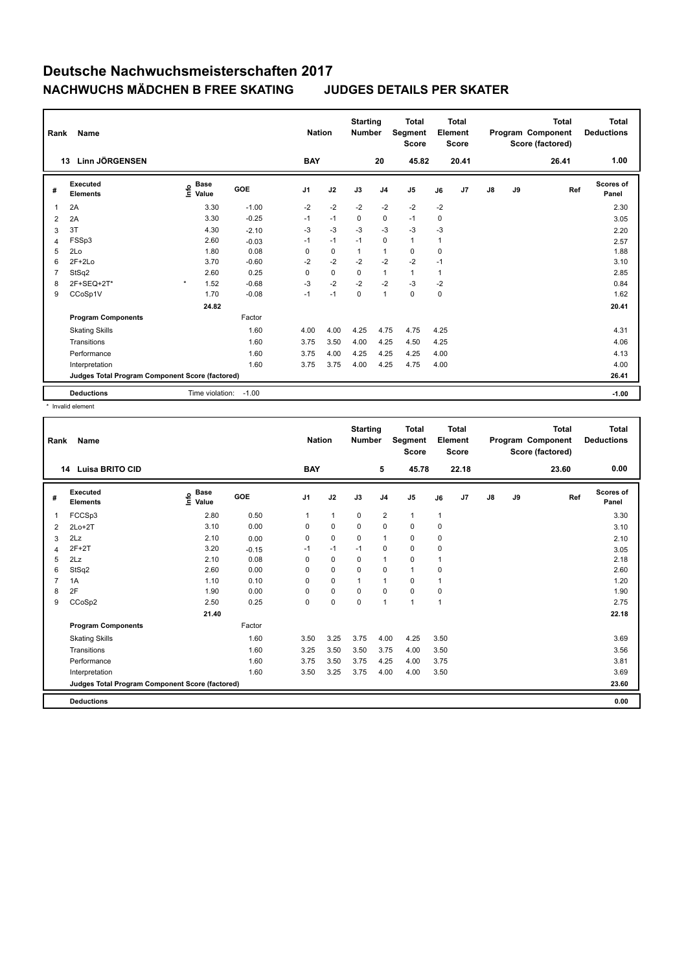| Rank           | <b>Name</b>                                     |                              |         | <b>Nation</b>  |             | <b>Starting</b><br><b>Number</b> |                | <b>Total</b><br>Segment<br>Score |              | <b>Total</b><br>Element<br><b>Score</b> |    |    | <b>Total</b><br>Program Component<br>Score (factored) | <b>Total</b><br><b>Deductions</b> |
|----------------|-------------------------------------------------|------------------------------|---------|----------------|-------------|----------------------------------|----------------|----------------------------------|--------------|-----------------------------------------|----|----|-------------------------------------------------------|-----------------------------------|
|                | <b>Linn JÖRGENSEN</b><br>13                     |                              |         | <b>BAY</b>     |             |                                  | 20             | 45.82                            |              | 20.41                                   |    |    | 26.41                                                 | 1.00                              |
| #              | <b>Executed</b><br><b>Elements</b>              | <b>Base</b><br>lnfo<br>Value | GOE     | J <sub>1</sub> | J2          | J3                               | J <sub>4</sub> | J <sub>5</sub>                   | J6           | J <sub>7</sub>                          | J8 | J9 | Ref                                                   | Scores of<br>Panel                |
| 1              | 2A                                              | 3.30                         | $-1.00$ | $-2$           | $-2$        | $-2$                             | $-2$           | $-2$                             | $-2$         |                                         |    |    |                                                       | 2.30                              |
| $\overline{2}$ | 2A                                              | 3.30                         | $-0.25$ | $-1$           | $-1$        | $\mathbf 0$                      | $\mathbf 0$    | $-1$                             | $\mathbf 0$  |                                         |    |    |                                                       | 3.05                              |
| 3              | 3T                                              | 4.30                         | $-2.10$ | $-3$           | $-3$        | $-3$                             | $-3$           | $-3$                             | $-3$         |                                         |    |    |                                                       | 2.20                              |
| 4              | FSSp3                                           | 2.60                         | $-0.03$ | $-1$           | $-1$        | $-1$                             | $\mathbf 0$    | $\mathbf{1}$                     | $\mathbf{1}$ |                                         |    |    |                                                       | 2.57                              |
| 5              | 2Lo                                             | 1.80                         | 0.08    | 0              | $\mathbf 0$ | 1                                | $\overline{1}$ | $\mathbf 0$                      | 0            |                                         |    |    |                                                       | 1.88                              |
| 6              | $2F+2Lo$                                        | 3.70                         | $-0.60$ | $-2$           | $-2$        | $-2$                             | $-2$           | $-2$                             | $-1$         |                                         |    |    |                                                       | 3.10                              |
| $\overline{7}$ | StSq2                                           | 2.60                         | 0.25    | 0              | $\pmb{0}$   | $\mathbf 0$                      | $\mathbf{1}$   | $\mathbf{1}$                     | 1            |                                         |    |    |                                                       | 2.85                              |
| 8              | 2F+SEQ+2T*                                      | $\star$<br>1.52              | $-0.68$ | $-3$           | $-2$        | $-2$                             | $-2$           | $-3$                             | $-2$         |                                         |    |    |                                                       | 0.84                              |
| 9              | CCoSp1V                                         | 1.70                         | $-0.08$ | $-1$           | $-1$        | $\mathbf 0$                      | $\overline{1}$ | $\mathbf 0$                      | $\mathbf 0$  |                                         |    |    |                                                       | 1.62                              |
|                |                                                 | 24.82                        |         |                |             |                                  |                |                                  |              |                                         |    |    |                                                       | 20.41                             |
|                | <b>Program Components</b>                       |                              | Factor  |                |             |                                  |                |                                  |              |                                         |    |    |                                                       |                                   |
|                | <b>Skating Skills</b>                           |                              | 1.60    | 4.00           | 4.00        | 4.25                             | 4.75           | 4.75                             | 4.25         |                                         |    |    |                                                       | 4.31                              |
|                | Transitions                                     |                              | 1.60    | 3.75           | 3.50        | 4.00                             | 4.25           | 4.50                             | 4.25         |                                         |    |    |                                                       | 4.06                              |
|                | Performance                                     |                              | 1.60    | 3.75           | 4.00        | 4.25                             | 4.25           | 4.25                             | 4.00         |                                         |    |    |                                                       | 4.13                              |
|                | Interpretation                                  |                              | 1.60    | 3.75           | 3.75        | 4.00                             | 4.25           | 4.75                             | 4.00         |                                         |    |    |                                                       | 4.00                              |
|                | Judges Total Program Component Score (factored) |                              |         |                |             |                                  |                |                                  |              |                                         |    |    |                                                       | 26.41                             |
|                | <b>Deductions</b>                               | Time violation:              | $-1.00$ |                |             |                                  |                |                                  |              |                                         |    |    |                                                       | $-1.00$                           |

\* Invalid element

| Rank | Name                                            |                                  |         | <b>Nation</b>  |              | <b>Starting</b><br><b>Number</b> |                | <b>Total</b><br>Segment<br><b>Score</b> |                | <b>Total</b><br>Element<br><b>Score</b> |               |    | <b>Total</b><br>Program Component<br>Score (factored) | <b>Total</b><br><b>Deductions</b> |
|------|-------------------------------------------------|----------------------------------|---------|----------------|--------------|----------------------------------|----------------|-----------------------------------------|----------------|-----------------------------------------|---------------|----|-------------------------------------------------------|-----------------------------------|
| 14   | <b>Luisa BRITO CID</b>                          |                                  |         | <b>BAY</b>     |              |                                  | 5              | 45.78                                   |                | 22.18                                   |               |    | 23.60                                                 | 0.00                              |
| #    | Executed<br><b>Elements</b>                     | <b>Base</b><br>e Base<br>⊆ Value | GOE     | J <sub>1</sub> | J2           | J3                               | J <sub>4</sub> | J <sub>5</sub>                          | J6             | J7                                      | $\mathsf{J}8$ | J9 | Ref                                                   | Scores of<br>Panel                |
| 1    | FCCSp3                                          | 2.80                             | 0.50    | $\mathbf{1}$   | $\mathbf{1}$ | $\mathbf 0$                      | 2              | $\mathbf{1}$                            | $\mathbf{1}$   |                                         |               |    |                                                       | 3.30                              |
| 2    | $2Lo+2T$                                        | 3.10                             | 0.00    | 0              | $\mathbf 0$  | 0                                | 0              | $\mathbf 0$                             | 0              |                                         |               |    |                                                       | 3.10                              |
| 3    | 2Lz                                             | 2.10                             | 0.00    | 0              | $\pmb{0}$    | 0                                | $\overline{1}$ | $\pmb{0}$                               | 0              |                                         |               |    |                                                       | 2.10                              |
| 4    | $2F+2T$                                         | 3.20                             | $-0.15$ | $-1$           | $-1$         | $-1$                             | 0              | $\mathbf 0$                             | 0              |                                         |               |    |                                                       | 3.05                              |
| 5    | 2Lz                                             | 2.10                             | 0.08    | 0              | $\mathbf 0$  | 0                                | $\overline{1}$ | $\mathbf 0$                             | $\mathbf{1}$   |                                         |               |    |                                                       | 2.18                              |
| 6    | StSq2                                           | 2.60                             | 0.00    | $\Omega$       | $\mathbf 0$  | $\mathbf 0$                      | $\pmb{0}$      | $\mathbf{1}$                            | 0              |                                         |               |    |                                                       | 2.60                              |
|      | 1A                                              | 1.10                             | 0.10    | $\Omega$       | $\mathbf 0$  | 1                                | $\overline{1}$ | $\mathbf 0$                             | $\overline{1}$ |                                         |               |    |                                                       | 1.20                              |
| 8    | 2F                                              | 1.90                             | 0.00    | 0              | $\mathbf 0$  | 0                                | 0              | $\mathbf 0$                             | 0              |                                         |               |    |                                                       | 1.90                              |
| 9    | CCoSp2                                          | 2.50                             | 0.25    | 0              | $\mathbf 0$  | $\mathbf 0$                      | $\overline{1}$ | 1                                       | $\mathbf{1}$   |                                         |               |    |                                                       | 2.75                              |
|      |                                                 | 21.40                            |         |                |              |                                  |                |                                         |                |                                         |               |    |                                                       | 22.18                             |
|      | <b>Program Components</b>                       |                                  | Factor  |                |              |                                  |                |                                         |                |                                         |               |    |                                                       |                                   |
|      | <b>Skating Skills</b>                           |                                  | 1.60    | 3.50           | 3.25         | 3.75                             | 4.00           | 4.25                                    | 3.50           |                                         |               |    |                                                       | 3.69                              |
|      | Transitions                                     |                                  | 1.60    | 3.25           | 3.50         | 3.50                             | 3.75           | 4.00                                    | 3.50           |                                         |               |    |                                                       | 3.56                              |
|      | Performance                                     |                                  | 1.60    | 3.75           | 3.50         | 3.75                             | 4.25           | 4.00                                    | 3.75           |                                         |               |    |                                                       | 3.81                              |
|      | Interpretation                                  |                                  | 1.60    | 3.50           | 3.25         | 3.75                             | 4.00           | 4.00                                    | 3.50           |                                         |               |    |                                                       | 3.69                              |
|      | Judges Total Program Component Score (factored) |                                  |         |                |              |                                  |                |                                         |                |                                         |               |    |                                                       | 23.60                             |
|      | <b>Deductions</b>                               |                                  |         |                |              |                                  |                |                                         |                |                                         |               |    |                                                       | 0.00                              |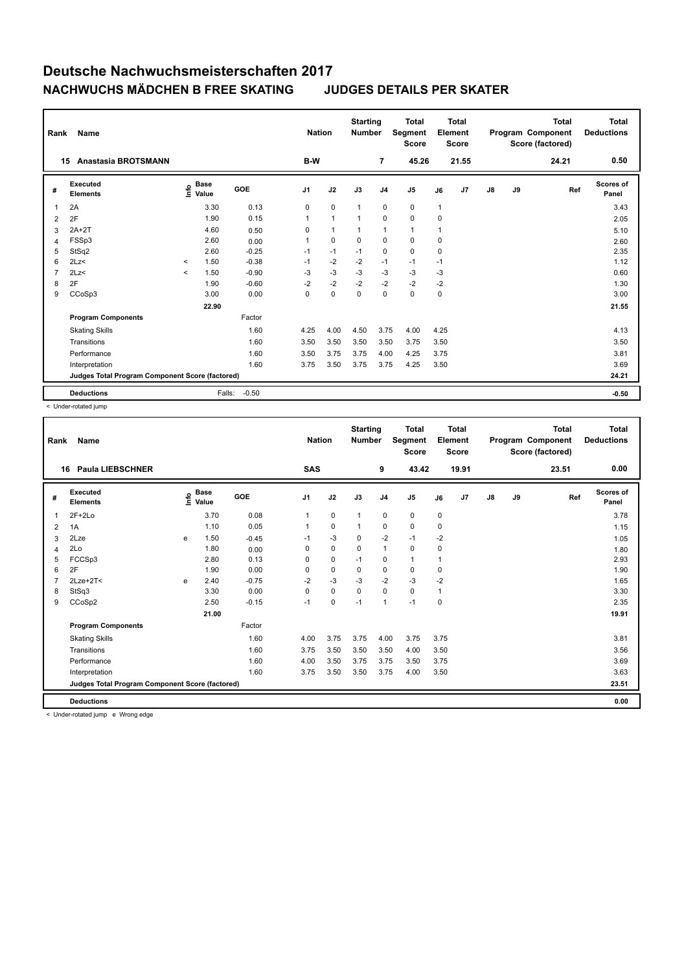| Rank           | <b>Name</b>                                     |         |                      |         |                | <b>Nation</b>  | <b>Starting</b><br><b>Number</b> |                | <b>Total</b><br>Segment<br><b>Score</b> |              | Total<br>Element<br><b>Score</b> |    |    | Total<br>Program Component<br>Score (factored) | Total<br><b>Deductions</b> |
|----------------|-------------------------------------------------|---------|----------------------|---------|----------------|----------------|----------------------------------|----------------|-----------------------------------------|--------------|----------------------------------|----|----|------------------------------------------------|----------------------------|
| 15             | <b>Anastasia BROTSMANN</b>                      |         |                      |         | B-W            |                |                                  | 7              | 45.26                                   |              | 21.55                            |    |    | 24.21                                          | 0.50                       |
| #              | Executed<br><b>Elements</b>                     | lnfo    | <b>Base</b><br>Value | GOE     | J <sub>1</sub> | J2             | J3                               | J <sub>4</sub> | J <sub>5</sub>                          | J6           | J7                               | J8 | J9 | Ref                                            | Scores of<br>Panel         |
| $\overline{1}$ | 2A                                              |         | 3.30                 | 0.13    | 0              | $\mathbf 0$    | 1                                | $\mathbf 0$    | $\mathbf 0$                             | $\mathbf{1}$ |                                  |    |    |                                                | 3.43                       |
| 2              | 2F                                              |         | 1.90                 | 0.15    | 1              | $\overline{1}$ | 1                                | $\mathbf 0$    | $\mathbf 0$                             | $\mathbf 0$  |                                  |    |    |                                                | 2.05                       |
| 3              | $2A+2T$                                         |         | 4.60                 | 0.50    | 0              | $\mathbf{1}$   | 1                                | $\overline{1}$ | $\mathbf{1}$                            | $\mathbf{1}$ |                                  |    |    |                                                | 5.10                       |
| $\overline{4}$ | FSSp3                                           |         | 2.60                 | 0.00    | 1              | $\mathbf 0$    | $\mathbf 0$                      | $\mathbf 0$    | $\mathbf 0$                             | 0            |                                  |    |    |                                                | 2.60                       |
| 5              | StSq2                                           |         | 2.60                 | $-0.25$ | $-1$           | $-1$           | $-1$                             | $\mathbf 0$    | $\mathbf 0$                             | 0            |                                  |    |    |                                                | 2.35                       |
| 6              | 2Lz                                             | $\prec$ | 1.50                 | $-0.38$ | $-1$           | $-2$           | $-2$                             | $-1$           | $-1$                                    | $-1$         |                                  |    |    |                                                | 1.12                       |
| $\overline{7}$ | 2Lz<                                            | $\prec$ | 1.50                 | $-0.90$ | $-3$           | $-3$           | $-3$                             | $-3$           | $-3$                                    | $-3$         |                                  |    |    |                                                | 0.60                       |
| 8              | 2F                                              |         | 1.90                 | $-0.60$ | $-2$           | $-2$           | $-2$                             | $-2$           | $-2$                                    | $-2$         |                                  |    |    |                                                | 1.30                       |
| 9              | CCoSp3                                          |         | 3.00                 | 0.00    | 0              | 0              | $\mathbf 0$                      | $\mathbf 0$    | 0                                       | $\pmb{0}$    |                                  |    |    |                                                | 3.00                       |
|                |                                                 |         | 22.90                |         |                |                |                                  |                |                                         |              |                                  |    |    |                                                | 21.55                      |
|                | <b>Program Components</b>                       |         |                      | Factor  |                |                |                                  |                |                                         |              |                                  |    |    |                                                |                            |
|                | <b>Skating Skills</b>                           |         |                      | 1.60    | 4.25           | 4.00           | 4.50                             | 3.75           | 4.00                                    | 4.25         |                                  |    |    |                                                | 4.13                       |
|                | Transitions                                     |         |                      | 1.60    | 3.50           | 3.50           | 3.50                             | 3.50           | 3.75                                    | 3.50         |                                  |    |    |                                                | 3.50                       |
|                | Performance                                     |         |                      | 1.60    | 3.50           | 3.75           | 3.75                             | 4.00           | 4.25                                    | 3.75         |                                  |    |    |                                                | 3.81                       |
|                | Interpretation                                  |         |                      | 1.60    | 3.75           | 3.50           | 3.75                             | 3.75           | 4.25                                    | 3.50         |                                  |    |    |                                                | 3.69                       |
|                | Judges Total Program Component Score (factored) |         |                      |         |                |                |                                  |                |                                         |              |                                  |    |    |                                                | 24.21                      |
|                | <b>Deductions</b>                               |         | Falls:               | $-0.50$ |                |                |                                  |                |                                         |              |                                  |    |    |                                                | $-0.50$                    |

< Under-rotated jump

| Rank         | Name                                            |   |                                  |         | <b>Nation</b>  |             | <b>Starting</b><br><b>Number</b> |                | <b>Total</b><br>Segment<br><b>Score</b> |              | <b>Total</b><br>Element<br><b>Score</b> |               |    | <b>Total</b><br>Program Component<br>Score (factored) | <b>Total</b><br><b>Deductions</b> |
|--------------|-------------------------------------------------|---|----------------------------------|---------|----------------|-------------|----------------------------------|----------------|-----------------------------------------|--------------|-----------------------------------------|---------------|----|-------------------------------------------------------|-----------------------------------|
| 16           | <b>Paula LIEBSCHNER</b>                         |   |                                  |         | <b>SAS</b>     |             |                                  | 9              | 43.42                                   |              | 19.91                                   |               |    | 23.51                                                 | 0.00                              |
| #            | Executed<br><b>Elements</b>                     |   | <b>Base</b><br>e Base<br>E Value | GOE     | J <sub>1</sub> | J2          | J3                               | J <sub>4</sub> | J <sub>5</sub>                          | J6           | J7                                      | $\mathsf{J}8$ | J9 | Ref                                                   | Scores of<br>Panel                |
| $\mathbf{1}$ | $2F+2Lo$                                        |   | 3.70                             | 0.08    | $\overline{1}$ | $\mathbf 0$ | $\mathbf{1}$                     | $\mathbf 0$    | $\pmb{0}$                               | $\pmb{0}$    |                                         |               |    |                                                       | 3.78                              |
| 2            | 1A                                              |   | 1.10                             | 0.05    | 1              | $\mathbf 0$ | 1                                | $\mathbf 0$    | $\pmb{0}$                               | $\pmb{0}$    |                                         |               |    |                                                       | 1.15                              |
| 3            | 2Lze                                            | e | 1.50                             | $-0.45$ | $-1$           | $-3$        | 0                                | $-2$           | $-1$                                    | -2           |                                         |               |    |                                                       | 1.05                              |
| 4            | 2Lo                                             |   | 1.80                             | 0.00    | $\Omega$       | $\mathbf 0$ | $\Omega$                         | $\overline{1}$ | $\mathbf 0$                             | $\mathbf 0$  |                                         |               |    |                                                       | 1.80                              |
| 5            | FCCSp3                                          |   | 2.80                             | 0.13    | 0              | $\mathbf 0$ | $-1$                             | $\mathbf 0$    | $\mathbf{1}$                            | $\mathbf{1}$ |                                         |               |    |                                                       | 2.93                              |
| 6            | 2F                                              |   | 1.90                             | 0.00    | 0              | $\mathbf 0$ | 0                                | $\mathbf 0$    | 0                                       | 0            |                                         |               |    |                                                       | 1.90                              |
| 7            | $2Lze+2T<$                                      | e | 2.40                             | $-0.75$ | $-2$           | $-3$        | $-3$                             | $-2$           | $-3$                                    | $-2$         |                                         |               |    |                                                       | 1.65                              |
| 8            | StSq3                                           |   | 3.30                             | 0.00    | 0              | $\mathbf 0$ | $\Omega$                         | $\mathbf 0$    | $\mathbf 0$                             | $\mathbf{1}$ |                                         |               |    |                                                       | 3.30                              |
| 9            | CCoSp2                                          |   | 2.50                             | $-0.15$ | $-1$           | $\mathbf 0$ | $-1$                             | $\overline{1}$ | $-1$                                    | $\mathbf 0$  |                                         |               |    |                                                       | 2.35                              |
|              |                                                 |   | 21.00                            |         |                |             |                                  |                |                                         |              |                                         |               |    |                                                       | 19.91                             |
|              | <b>Program Components</b>                       |   |                                  | Factor  |                |             |                                  |                |                                         |              |                                         |               |    |                                                       |                                   |
|              | <b>Skating Skills</b>                           |   |                                  | 1.60    | 4.00           | 3.75        | 3.75                             | 4.00           | 3.75                                    | 3.75         |                                         |               |    |                                                       | 3.81                              |
|              | Transitions                                     |   |                                  | 1.60    | 3.75           | 3.50        | 3.50                             | 3.50           | 4.00                                    | 3.50         |                                         |               |    |                                                       | 3.56                              |
|              | Performance                                     |   |                                  | 1.60    | 4.00           | 3.50        | 3.75                             | 3.75           | 3.50                                    | 3.75         |                                         |               |    |                                                       | 3.69                              |
|              | Interpretation                                  |   |                                  | 1.60    | 3.75           | 3.50        | 3.50                             | 3.75           | 4.00                                    | 3.50         |                                         |               |    |                                                       | 3.63                              |
|              | Judges Total Program Component Score (factored) |   |                                  |         |                |             |                                  |                |                                         |              |                                         |               |    |                                                       | 23.51                             |
|              | <b>Deductions</b>                               |   |                                  |         |                |             |                                  |                |                                         |              |                                         |               |    |                                                       | 0.00                              |

< Under-rotated jump e Wrong edge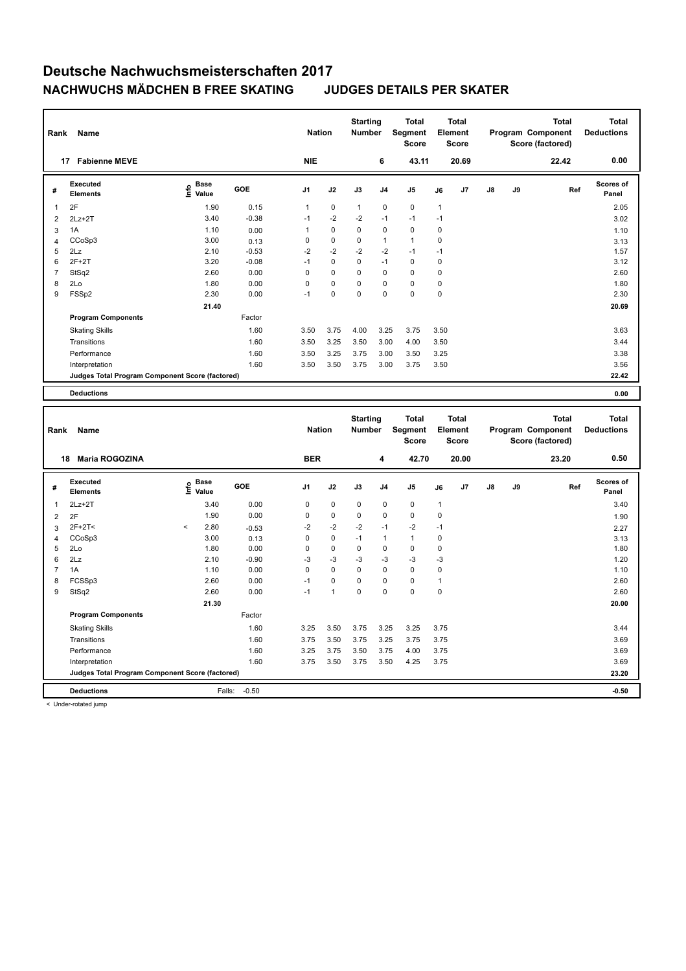| Rank                    | Name                                            |                                  |         | <b>Nation</b> |              | <b>Starting</b><br><b>Number</b> |              | <b>Total</b><br>Segment<br><b>Score</b> |              | <b>Total</b><br>Element<br><b>Score</b> |    |    | <b>Total</b><br>Program Component<br>Score (factored) | <b>Total</b><br><b>Deductions</b> |
|-------------------------|-------------------------------------------------|----------------------------------|---------|---------------|--------------|----------------------------------|--------------|-----------------------------------------|--------------|-----------------------------------------|----|----|-------------------------------------------------------|-----------------------------------|
|                         | 17 Fabienne MEVE                                |                                  |         | <b>NIE</b>    |              |                                  | 6            | 43.11                                   |              | 20.69                                   |    |    | 22.42                                                 | 0.00                              |
| #                       | Executed<br><b>Elements</b>                     | <b>Base</b><br>e ¤ase<br>⊆ Value | GOE     | J1            | J2           | J3                               | J4           | J5                                      | J6           | J <sub>7</sub>                          | J8 | J9 | Ref                                                   | <b>Scores of</b><br>Panel         |
| 1                       | 2F                                              | 1.90                             | 0.15    | $\mathbf{1}$  | 0            | 1                                | 0            | $\pmb{0}$                               | $\mathbf{1}$ |                                         |    |    |                                                       | 2.05                              |
| $\overline{\mathbf{c}}$ | $2Lz + 2T$                                      | 3.40                             | $-0.38$ | $-1$          | $-2$         | $-2$                             | $-1$         | $-1$                                    | $-1$         |                                         |    |    |                                                       | 3.02                              |
| 3                       | 1A                                              | 1.10                             | 0.00    | $\mathbf{1}$  | $\pmb{0}$    | 0                                | $\pmb{0}$    | $\pmb{0}$                               | $\mathbf 0$  |                                         |    |    |                                                       | 1.10                              |
| 4                       | CCoSp3                                          | 3.00                             | 0.13    | 0             | 0            | 0                                | $\mathbf{1}$ | $\mathbf{1}$                            | $\mathbf 0$  |                                         |    |    |                                                       | 3.13                              |
| 5                       | 2Lz                                             | 2.10                             | $-0.53$ | $-2$          | $-2$         | $-2$                             | $-2$         | $-1$                                    | $-1$         |                                         |    |    |                                                       | 1.57                              |
| 6                       | $2F+2T$                                         | 3.20                             | $-0.08$ | $-1$          | $\Omega$     | $\mathbf 0$                      | $-1$         | $\Omega$                                | $\mathbf 0$  |                                         |    |    |                                                       | 3.12                              |
| $\overline{7}$          | StSq2                                           | 2.60                             | 0.00    | $\mathbf 0$   | 0            | $\mathbf 0$                      | 0            | $\mathbf 0$                             | $\mathbf 0$  |                                         |    |    |                                                       | 2.60                              |
| 8                       | 2Lo                                             | 1.80                             | 0.00    | $\pmb{0}$     | 0            | 0<br>$\Omega$                    | 0            | 0                                       | $\mathbf 0$  |                                         |    |    |                                                       | 1.80                              |
| 9                       | FSSp2                                           | 2.30                             | 0.00    | $-1$          | 0            |                                  | $\Omega$     | $\mathbf 0$                             | $\mathbf 0$  |                                         |    |    |                                                       | 2.30                              |
|                         |                                                 | 21.40                            |         |               |              |                                  |              |                                         |              |                                         |    |    |                                                       | 20.69                             |
|                         | <b>Program Components</b>                       |                                  | Factor  |               |              |                                  |              |                                         |              |                                         |    |    |                                                       |                                   |
|                         | <b>Skating Skills</b>                           |                                  | 1.60    | 3.50          | 3.75         | 4.00                             | 3.25         | 3.75                                    | 3.50         |                                         |    |    |                                                       | 3.63                              |
|                         | Transitions                                     |                                  | 1.60    | 3.50          | 3.25         | 3.50                             | 3.00         | 4.00                                    | 3.50         |                                         |    |    |                                                       | 3.44                              |
|                         | Performance                                     |                                  | 1.60    | 3.50          | 3.25         | 3.75                             | 3.00         | 3.50                                    | 3.25         |                                         |    |    |                                                       | 3.38                              |
|                         | Interpretation                                  |                                  | 1.60    | 3.50          | 3.50         | 3.75                             | 3.00         | 3.75                                    | 3.50         |                                         |    |    |                                                       | 3.56                              |
|                         | Judges Total Program Component Score (factored) |                                  |         |               |              |                                  |              |                                         |              |                                         |    |    |                                                       | 22.42                             |
|                         | <b>Deductions</b>                               |                                  |         |               |              |                                  |              |                                         |              |                                         |    |    |                                                       | 0.00                              |
|                         |                                                 |                                  |         |               |              |                                  |              |                                         |              |                                         |    |    |                                                       |                                   |
|                         |                                                 |                                  |         |               |              |                                  |              |                                         |              |                                         |    |    |                                                       |                                   |
|                         |                                                 |                                  |         |               |              | <b>Starting</b>                  |              | Total                                   |              | <b>Total</b>                            |    |    | <b>Total</b>                                          | <b>Total</b>                      |
| Rank                    | Name                                            |                                  |         | <b>Nation</b> |              | Number                           |              | Segment                                 |              | Element                                 |    |    | Program Component                                     | <b>Deductions</b>                 |
|                         |                                                 |                                  |         |               |              |                                  |              | <b>Score</b>                            |              | <b>Score</b>                            |    |    | Score (factored)                                      |                                   |
|                         | Maria ROGOZINA<br>18                            |                                  |         | <b>BER</b>    |              |                                  | 4            | 42.70                                   |              | 20.00                                   |    |    | 23.20                                                 | 0.50                              |
|                         | Executed                                        | <b>Base</b>                      |         |               |              |                                  |              |                                         |              |                                         |    |    |                                                       | Scores of                         |
| #                       | <b>Elements</b>                                 | e <sup>Base</sup><br>⊆ Value     | GOE     | J1            | J2           | J3                               | J4           | J <sub>5</sub>                          | J6           | J7                                      | J8 | J9 | Ref                                                   | Panel                             |
| 1                       | $2Lz+2T$                                        | 3.40                             | 0.00    | 0             | $\mathbf 0$  | 0                                | 0            | $\pmb{0}$                               | $\mathbf{1}$ |                                         |    |    |                                                       | 3.40                              |
| $\overline{2}$          | 2F                                              | 1.90                             | 0.00    | $\pmb{0}$     | $\pmb{0}$    | 0                                | 0            | $\pmb{0}$                               | $\mathbf 0$  |                                         |    |    |                                                       | 1.90                              |
| 3                       | $2F+2T<$                                        | $\,<$<br>2.80                    | $-0.53$ | $-2$          | $-2$         | -2                               | $-1$         | $-2$                                    | $-1$         |                                         |    |    |                                                       | 2.27                              |
| 4                       | CCoSp3                                          | 3.00                             | 0.13    | $\pmb{0}$     | $\Omega$     | $-1$                             | $\mathbf{1}$ | $\mathbf{1}$                            | $\mathbf 0$  |                                         |    |    |                                                       | 3.13                              |
| 5                       | 2Lo                                             | 1.80                             | 0.00    | $\pmb{0}$     | 0            | 0                                | 0            | $\mathbf 0$                             | $\mathbf 0$  |                                         |    |    |                                                       | 1.80                              |
| 6                       | 2Lz                                             | 2.10                             | $-0.90$ | $-3$          | $-3$         | $-3$                             | $-3$         | $-3$                                    | -3           |                                         |    |    |                                                       | 1.20                              |
| $\overline{7}$          | 1A                                              | 1.10                             | 0.00    | $\mathbf 0$   | 0            | 0                                | $\mathbf 0$  | $\mathbf 0$                             | $\mathbf 0$  |                                         |    |    |                                                       | 1.10                              |
| 8                       | FCSSp3                                          | 2.60                             | 0.00    | $-1$          | 0            | 0                                | 0            | $\pmb{0}$                               | $\mathbf{1}$ |                                         |    |    |                                                       | 2.60                              |
| 9                       | StSq2                                           | 2.60                             | 0.00    | $-1$          | $\mathbf{1}$ | 0                                | 0            | $\pmb{0}$                               | $\mathbf 0$  |                                         |    |    |                                                       | 2.60                              |
|                         |                                                 | 21.30                            |         |               |              |                                  |              |                                         |              |                                         |    |    |                                                       | 20.00                             |
|                         | <b>Program Components</b>                       |                                  | Factor  |               |              |                                  |              |                                         |              |                                         |    |    |                                                       |                                   |
|                         | <b>Skating Skills</b>                           |                                  | 1.60    | 3.25          | 3.50         | 3.75                             | 3.25         | 3.25                                    | 3.75         |                                         |    |    |                                                       | 3.44                              |
|                         | Transitions                                     |                                  | 1.60    | 3.75          | 3.50         | 3.75                             | 3.25         | 3.75                                    | 3.75         |                                         |    |    |                                                       | 3.69                              |
|                         | Performance                                     |                                  | 1.60    | 3.25          | 3.75         | 3.50                             | 3.75         | 4.00                                    | 3.75         |                                         |    |    |                                                       | 3.69                              |
|                         | Interpretation                                  |                                  | 1.60    | 3.75          | 3.50         | 3.75                             | 3.50         | 4.25                                    | 3.75         |                                         |    |    |                                                       | 3.69<br>23.20                     |

**Deductions** Falls: -0.50 **-0.50**

< Under-rotated jump